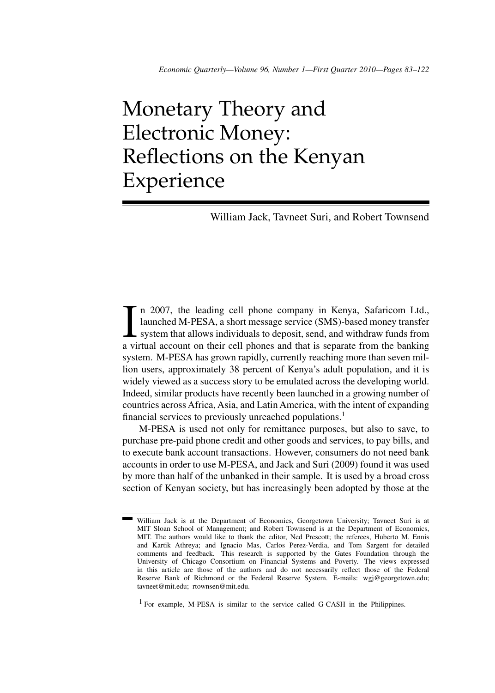# Monetary Theory and Electronic Money: Reflections on the Kenyan Experience

William Jack, Tavneet Suri, and Robert Townsend

In 2007, the leading cell phone company in Kenya, Safaricom Ltd., launched M-PESA, a short message service (SMS)-based money transfer system that allows individuals to deposit, send, and withdraw funds from a virtual accou n 2007, the leading cell phone company in Kenya, Safaricom Ltd., launched M-PESA, a short message service (SMS)-based money transfer  $\mathsf{\mathsf{L}}$  system that allows individuals to deposit, send, and withdraw funds from system. M-PESA has grown rapidly, currently reaching more than seven million users, approximately 38 percent of Kenya's adult population, and it is widely viewed as a success story to be emulated across the developing world. Indeed, similar products have recently been launched in a growing number of countries across Africa, Asia, and Latin America, with the intent of expanding financial services to previously unreached populations.<sup>1</sup>

M-PESA is used not only for remittance purposes, but also to save, to purchase pre-paid phone credit and other goods and services, to pay bills, and to execute bank account transactions. However, consumers do not need bank accounts in order to use M-PESA, and Jack and Suri (2009) found it was used by more than half of the unbanked in their sample. It is used by a broad cross section of Kenyan society, but has increasingly been adopted by those at the

<sup>1</sup> For example, M-PESA is similar to the service called G-CASH in the Philippines.

William Jack is at the Department of Economics, Georgetown University; Tavneet Suri is at MIT Sloan School of Management; and Robert Townsend is at the Department of Economics, MIT. The authors would like to thank the editor, Ned Prescott; the referees, Huberto M. Ennis and Kartik Athreya; and Ignacio Mas, Carlos Perez-Verdia, and Tom Sargent for detailed comments and feedback. This research is supported by the Gates Foundation through the University of Chicago Consortium on Financial Systems and Poverty. The views expressed in this article are those of the authors and do not necessarily reflect those of the Federal Reserve Bank of Richmond or the Federal Reserve System. E-mails: wgj@georgetown.edu; tavneet@mit.edu; rtownsen@mit.edu.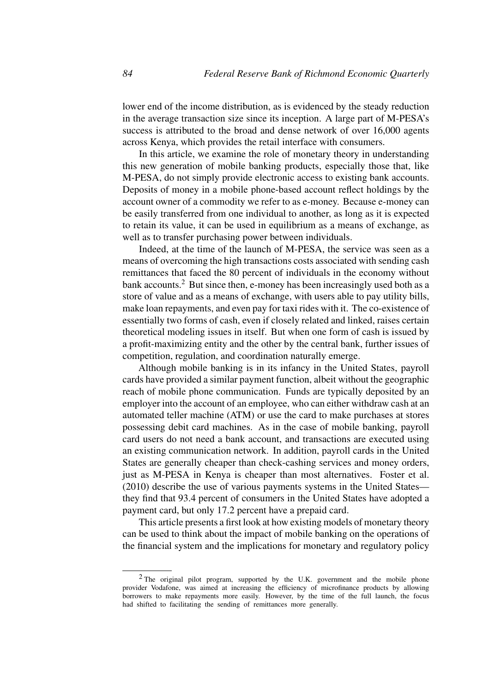lower end of the income distribution, as is evidenced by the steady reduction in the average transaction size since its inception. A large part of M-PESA's success is attributed to the broad and dense network of over 16,000 agents across Kenya, which provides the retail interface with consumers.

In this article, we examine the role of monetary theory in understanding this new generation of mobile banking products, especially those that, like M-PESA, do not simply provide electronic access to existing bank accounts. Deposits of money in a mobile phone-based account reflect holdings by the account owner of a commodity we refer to as e-money. Because e-money can be easily transferred from one individual to another, as long as it is expected to retain its value, it can be used in equilibrium as a means of exchange, as well as to transfer purchasing power between individuals.

Indeed, at the time of the launch of M-PESA, the service was seen as a means of overcoming the high transactions costs associated with sending cash remittances that faced the 80 percent of individuals in the economy without bank accounts.<sup>2</sup> But since then, e-money has been increasingly used both as a store of value and as a means of exchange, with users able to pay utility bills, make loan repayments, and even pay for taxi rides with it. The co-existence of essentially two forms of cash, even if closely related and linked, raises certain theoretical modeling issues in itself. But when one form of cash is issued by a profit-maximizing entity and the other by the central bank, further issues of competition, regulation, and coordination naturally emerge.

Although mobile banking is in its infancy in the United States, payroll cards have provided a similar payment function, albeit without the geographic reach of mobile phone communication. Funds are typically deposited by an employer into the account of an employee, who can either withdraw cash at an automated teller machine (ATM) or use the card to make purchases at stores possessing debit card machines. As in the case of mobile banking, payroll card users do not need a bank account, and transactions are executed using an existing communication network. In addition, payroll cards in the United States are generally cheaper than check-cashing services and money orders, just as M-PESA in Kenya is cheaper than most alternatives. Foster et al. (2010) describe the use of various payments systems in the United States they find that 93.4 percent of consumers in the United States have adopted a payment card, but only 17.2 percent have a prepaid card.

This article presents a first look at how existing models of monetary theory can be used to think about the impact of mobile banking on the operations of the financial system and the implications for monetary and regulatory policy

<sup>2</sup> The original pilot program, supported by the U.K. government and the mobile phone provider Vodafone, was aimed at increasing the efficiency of microfinance products by allowing borrowers to make repayments more easily. However, by the time of the full launch, the focus had shifted to facilitating the sending of remittances more generally.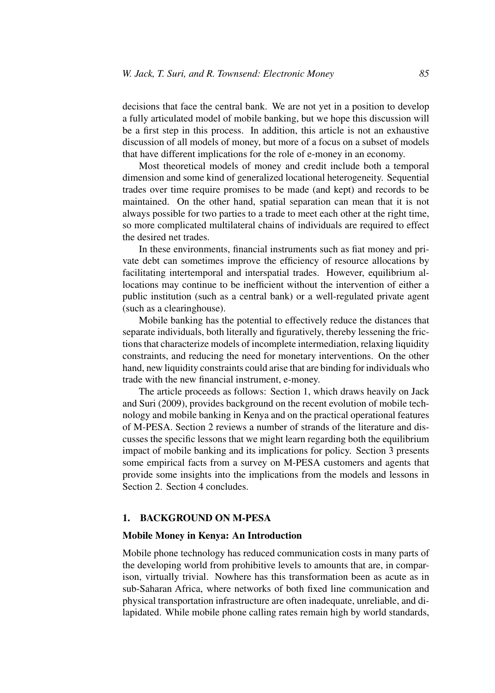decisions that face the central bank. We are not yet in a position to develop a fully articulated model of mobile banking, but we hope this discussion will be a first step in this process. In addition, this article is not an exhaustive discussion of all models of money, but more of a focus on a subset of models that have different implications for the role of e-money in an economy.

Most theoretical models of money and credit include both a temporal dimension and some kind of generalized locational heterogeneity. Sequential trades over time require promises to be made (and kept) and records to be maintained. On the other hand, spatial separation can mean that it is not always possible for two parties to a trade to meet each other at the right time, so more complicated multilateral chains of individuals are required to effect the desired net trades.

In these environments, financial instruments such as fiat money and private debt can sometimes improve the efficiency of resource allocations by facilitating intertemporal and interspatial trades. However, equilibrium allocations may continue to be inefficient without the intervention of either a public institution (such as a central bank) or a well-regulated private agent (such as a clearinghouse).

Mobile banking has the potential to effectively reduce the distances that separate individuals, both literally and figuratively, thereby lessening the frictions that characterize models of incomplete intermediation, relaxing liquidity constraints, and reducing the need for monetary interventions. On the other hand, new liquidity constraints could arise that are binding for individuals who trade with the new financial instrument, e-money.

The article proceeds as follows: Section 1, which draws heavily on Jack and Suri (2009), provides background on the recent evolution of mobile technology and mobile banking in Kenya and on the practical operational features of M-PESA. Section 2 reviews a number of strands of the literature and discusses the specific lessons that we might learn regarding both the equilibrium impact of mobile banking and its implications for policy. Section 3 presents some empirical facts from a survey on M-PESA customers and agents that provide some insights into the implications from the models and lessons in Section 2. Section 4 concludes.

## **1. BACKGROUND ON M-PESA**

#### **Mobile Money in Kenya: An Introduction**

Mobile phone technology has reduced communication costs in many parts of the developing world from prohibitive levels to amounts that are, in comparison, virtually trivial. Nowhere has this transformation been as acute as in sub-Saharan Africa, where networks of both fixed line communication and physical transportation infrastructure are often inadequate, unreliable, and dilapidated. While mobile phone calling rates remain high by world standards,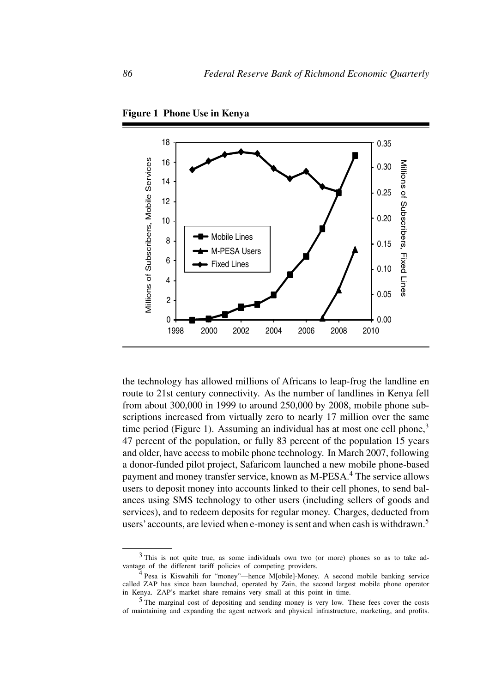

**Figure 1 Phone Use in Kenya**

the technology has allowed millions of Africans to leap-frog the landline en route to 21st century connectivity. As the number of landlines in Kenya fell from about 300,000 in 1999 to around 250,000 by 2008, mobile phone subscriptions increased from virtually zero to nearly 17 million over the same time period (Figure 1). Assuming an individual has at most one cell phone, $3$ 47 percent of the population, or fully 83 percent of the population 15 years and older, have access to mobile phone technology. In March 2007, following a donor-funded pilot project, Safaricom launched a new mobile phone-based payment and money transfer service, known as M-PESA.<sup>4</sup> The service allows users to deposit money into accounts linked to their cell phones, to send balances using SMS technology to other users (including sellers of goods and services), and to redeem deposits for regular money. Charges, deducted from users' accounts, are levied when e-money is sent and when cash is withdrawn.<sup>5</sup>

<sup>3</sup> This is not quite true, as some individuals own two (or more) phones so as to take advantage of the different tariff policies of competing providers.

<sup>4</sup> Pesa is Kiswahili for "money"—hence M[obile]-Money. A second mobile banking service called ZAP has since been launched, operated by Zain, the second largest mobile phone operator in Kenya. ZAP's market share remains very small at this point in time.

<sup>5</sup> The marginal cost of depositing and sending money is very low. These fees cover the costs of maintaining and expanding the agent network and physical infrastructure, marketing, and profits.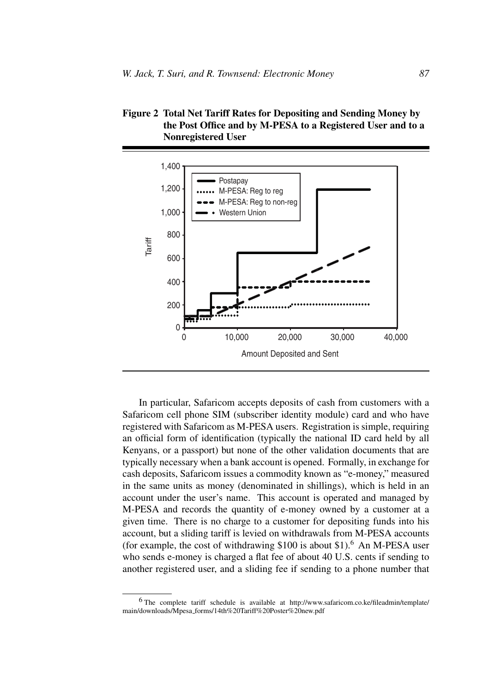



In particular, Safaricom accepts deposits of cash from customers with a Safaricom cell phone SIM (subscriber identity module) card and who have registered with Safaricom as M-PESA users. Registration is simple, requiring an official form of identification (typically the national ID card held by all Kenyans, or a passport) but none of the other validation documents that are typically necessary when a bank account is opened. Formally, in exchange for cash deposits, Safaricom issues a commodity known as "e-money," measured in the same units as money (denominated in shillings), which is held in an account under the user's name. This account is operated and managed by M-PESA and records the quantity of e-money owned by a customer at a given time. There is no charge to a customer for depositing funds into his account, but a sliding tariff is levied on withdrawals from M-PESA accounts (for example, the cost of withdrawing  $$100$  is about  $$1$ ).<sup>6</sup> An M-PESA user who sends e-money is charged a flat fee of about 40 U.S. cents if sending to another registered user, and a sliding fee if sending to a phone number that

<sup>6</sup> The complete tariff schedule is available at http://www.safaricom.co.ke/fileadmin/template/ main/downloads/Mpesa forms/14th%20Tariff%20Poster%20new.pdf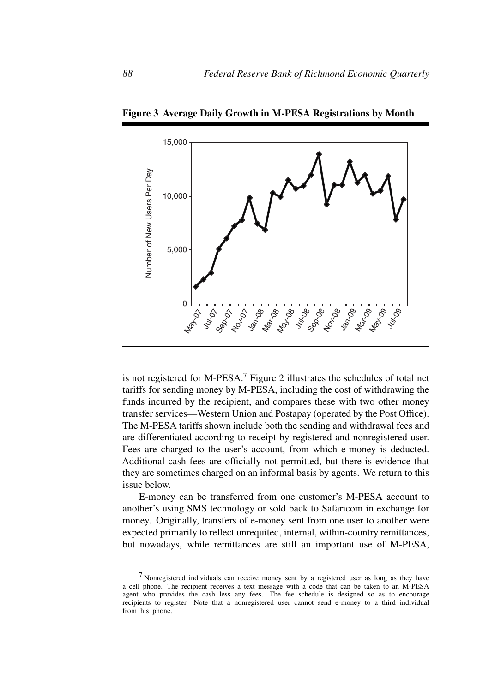

**Figure 3 Average Daily Growth in M-PESA Registrations by Month**

is not registered for M-PESA.<sup>7</sup> Figure 2 illustrates the schedules of total net tariffs for sending money by M-PESA, including the cost of withdrawing the funds incurred by the recipient, and compares these with two other money transfer services—Western Union and Postapay (operated by the Post Office). The M-PESA tariffs shown include both the sending and withdrawal fees and are differentiated according to receipt by registered and nonregistered user. Fees are charged to the user's account, from which e-money is deducted. Additional cash fees are officially not permitted, but there is evidence that they are sometimes charged on an informal basis by agents. We return to this issue below.

E-money can be transferred from one customer's M-PESA account to another's using SMS technology or sold back to Safaricom in exchange for money. Originally, transfers of e-money sent from one user to another were expected primarily to reflect unrequited, internal, within-country remittances, but nowadays, while remittances are still an important use of M-PESA,

<sup>7</sup> Nonregistered individuals can receive money sent by a registered user as long as they have a cell phone. The recipient receives a text message with a code that can be taken to an M-PESA agent who provides the cash less any fees. The fee schedule is designed so as to encourage recipients to register. Note that a nonregistered user cannot send e-money to a third individual from his phone.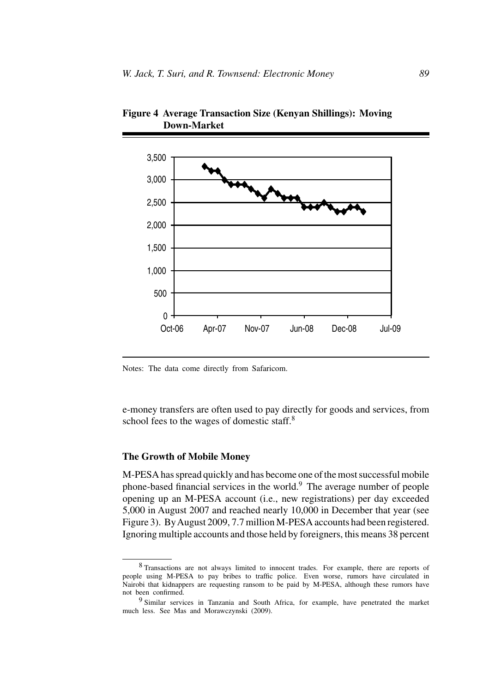

**Figure 4 Average Transaction Size (Kenyan Shillings): Moving Down-Market**

Notes: The data come directly from Safaricom.

e-money transfers are often used to pay directly for goods and services, from school fees to the wages of domestic staff.<sup>8</sup>

## **The Growth of Mobile Money**

M-PESA has spread quickly and has become one of the most successful mobile phone-based financial services in the world.<sup>9</sup> The average number of people opening up an M-PESA account (i.e., new registrations) per day exceeded 5,000 in August 2007 and reached nearly 10,000 in December that year (see Figure 3). ByAugust 2009, 7.7 million M-PESA accounts had been registered. Ignoring multiple accounts and those held by foreigners, this means 38 percent

<sup>8</sup> Transactions are not always limited to innocent trades. For example, there are reports of people using M-PESA to pay bribes to traffic police. Even worse, rumors have circulated in Nairobi that kidnappers are requesting ransom to be paid by M-PESA, although these rumors have not been confirmed.

<sup>&</sup>lt;sup>9</sup> Similar services in Tanzania and South Africa, for example, have penetrated the market much less. See Mas and Morawczynski (2009).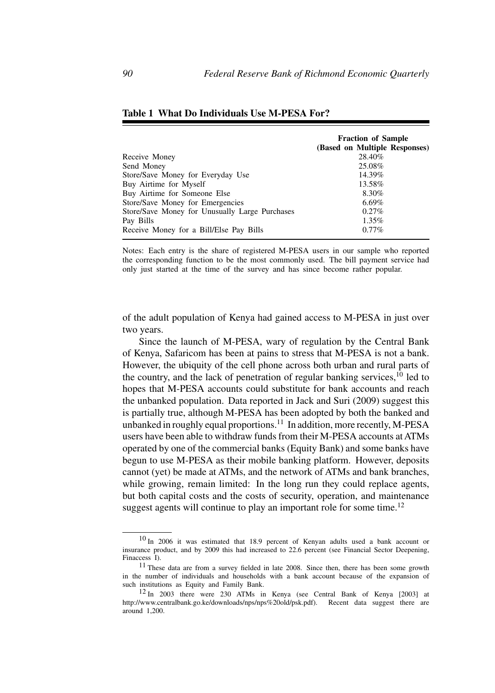|                                                | <b>Fraction of Sample</b>     |  |
|------------------------------------------------|-------------------------------|--|
|                                                | (Based on Multiple Responses) |  |
| Receive Money                                  | 28.40%                        |  |
| Send Money                                     | 25.08%                        |  |
| Store/Save Money for Everyday Use              | 14.39%                        |  |
| Buy Airtime for Myself                         | 13.58%                        |  |
| Buy Airtime for Someone Else                   | 8.30%                         |  |
| Store/Save Money for Emergencies               | $6.69\%$                      |  |
| Store/Save Money for Unusually Large Purchases | $0.27\%$                      |  |
| Pay Bills                                      | $1.35\%$                      |  |
| Receive Money for a Bill/Else Pay Bills        | $0.77\%$                      |  |

## **Table 1 What Do Individuals Use M-PESA For?**

Notes: Each entry is the share of registered M-PESA users in our sample who reported the corresponding function to be the most commonly used. The bill payment service had only just started at the time of the survey and has since become rather popular.

of the adult population of Kenya had gained access to M-PESA in just over two years.

Since the launch of M-PESA, wary of regulation by the Central Bank of Kenya, Safaricom has been at pains to stress that M-PESA is not a bank. However, the ubiquity of the cell phone across both urban and rural parts of the country, and the lack of penetration of regular banking services, $^{10}$  led to hopes that M-PESA accounts could substitute for bank accounts and reach the unbanked population. Data reported in Jack and Suri (2009) suggest this is partially true, although M-PESA has been adopted by both the banked and unbanked in roughly equal proportions.<sup>11</sup> In addition, more recently, M-PESA users have been able to withdraw funds from their M-PESA accounts at ATMs operated by one of the commercial banks (Equity Bank) and some banks have begun to use M-PESA as their mobile banking platform. However, deposits cannot (yet) be made at ATMs, and the network of ATMs and bank branches, while growing, remain limited: In the long run they could replace agents, but both capital costs and the costs of security, operation, and maintenance suggest agents will continue to play an important role for some time.<sup>12</sup>

 $10$  In 2006 it was estimated that 18.9 percent of Kenyan adults used a bank account or insurance product, and by 2009 this had increased to 22.6 percent (see Financial Sector Deepening, Finaccess I).

<sup>11</sup> These data are from a survey fielded in late 2008. Since then, there has been some growth in the number of individuals and households with a bank account because of the expansion of such institutions as Equity and Family Bank.

 $12$  In 2003 there were 230 ATMs in Kenya (see Central Bank of Kenya [2003] at http://www.centralbank.go.ke/downloads/nps/nps%20old/psk.pdf). Recent data suggest there are around 1,200.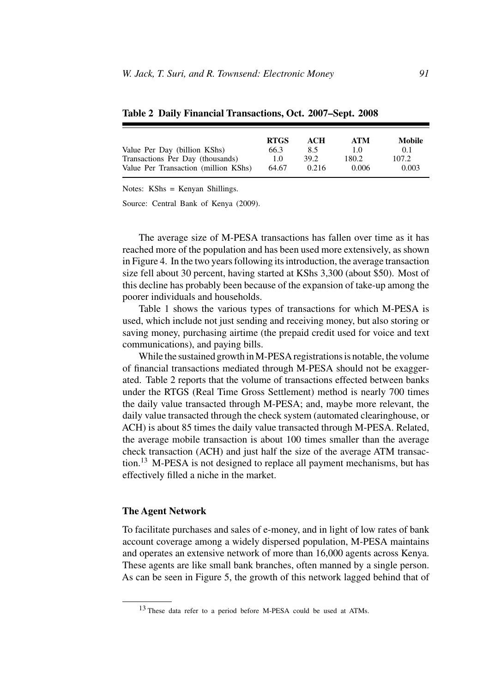|                                      | <b>RTGS</b> | ACH   | <b>ATM</b> | Mobile |
|--------------------------------------|-------------|-------|------------|--------|
| Value Per Day (billion KShs)         | 66.3        | 8.5   | 1.0        | 0.1    |
| Transactions Per Day (thousands)     | 1.0         | 39.2  | 180.2      | 107.2  |
| Value Per Transaction (million KShs) | 64.67       | 0.216 | 0.006      | 0.003  |

**Table 2 Daily Financial Transactions, Oct. 2007–Sept. 2008**

Notes: KShs = Kenyan Shillings.

Source: Central Bank of Kenya (2009).

The average size of M-PESA transactions has fallen over time as it has reached more of the population and has been used more extensively, as shown in Figure 4. In the two years following its introduction, the average transaction size fell about 30 percent, having started at KShs 3,300 (about \$50). Most of this decline has probably been because of the expansion of take-up among the poorer individuals and households.

Table 1 shows the various types of transactions for which M-PESA is used, which include not just sending and receiving money, but also storing or saving money, purchasing airtime (the prepaid credit used for voice and text communications), and paying bills.

While the sustained growth in M-PESA registrations is notable, the volume of financial transactions mediated through M-PESA should not be exaggerated. Table 2 reports that the volume of transactions effected between banks under the RTGS (Real Time Gross Settlement) method is nearly 700 times the daily value transacted through M-PESA; and, maybe more relevant, the daily value transacted through the check system (automated clearinghouse, or ACH) is about 85 times the daily value transacted through M-PESA. Related, the average mobile transaction is about 100 times smaller than the average check transaction (ACH) and just half the size of the average ATM transaction.<sup>13</sup> M-PESA is not designed to replace all payment mechanisms, but has effectively filled a niche in the market.

#### **The Agent Network**

To facilitate purchases and sales of e-money, and in light of low rates of bank account coverage among a widely dispersed population, M-PESA maintains and operates an extensive network of more than 16,000 agents across Kenya. These agents are like small bank branches, often manned by a single person. As can be seen in Figure 5, the growth of this network lagged behind that of

<sup>&</sup>lt;sup>13</sup> These data refer to a period before M-PESA could be used at ATMs.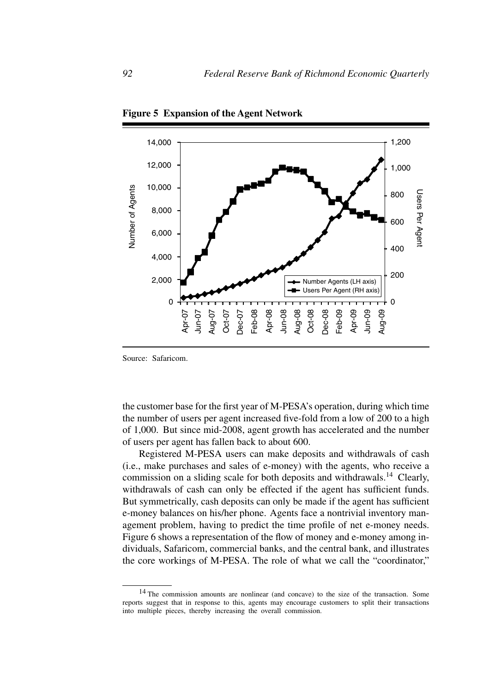

**Figure 5 Expansion of the Agent Network**

Source: Safaricom.

the customer base for the first year of M-PESA's operation, during which time the number of users per agent increased five-fold from a low of 200 to a high of 1,000. But since mid-2008, agent growth has accelerated and the number of users per agent has fallen back to about 600.

Registered M-PESA users can make deposits and withdrawals of cash (i.e., make purchases and sales of e-money) with the agents, who receive a commission on a sliding scale for both deposits and withdrawals.<sup>14</sup> Clearly, withdrawals of cash can only be effected if the agent has sufficient funds. But symmetrically, cash deposits can only be made if the agent has sufficient e-money balances on his/her phone. Agents face a nontrivial inventory management problem, having to predict the time profile of net e-money needs. Figure 6 shows a representation of the flow of money and e-money among individuals, Safaricom, commercial banks, and the central bank, and illustrates the core workings of M-PESA. The role of what we call the "coordinator,"

<sup>&</sup>lt;sup>14</sup> The commission amounts are nonlinear (and concave) to the size of the transaction. Some reports suggest that in response to this, agents may encourage customers to split their transactions into multiple pieces, thereby increasing the overall commission.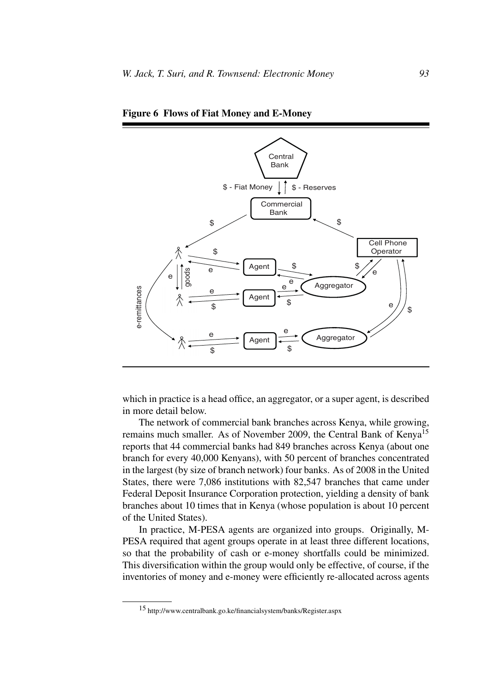

**Figure 6 Flows of Fiat Money and E-Money**

which in practice is a head office, an aggregator, or a super agent, is described in more detail below.

The network of commercial bank branches across Kenya, while growing, remains much smaller. As of November 2009, the Central Bank of Kenya<sup>15</sup> reports that 44 commercial banks had 849 branches across Kenya (about one branch for every 40,000 Kenyans), with 50 percent of branches concentrated in the largest (by size of branch network) four banks. As of 2008 in the United States, there were 7,086 institutions with 82,547 branches that came under Federal Deposit Insurance Corporation protection, yielding a density of bank branches about 10 times that in Kenya (whose population is about 10 percent of the United States).

In practice, M-PESA agents are organized into groups. Originally, M-PESA required that agent groups operate in at least three different locations, so that the probability of cash or e-money shortfalls could be minimized. This diversification within the group would only be effective, of course, if the inventories of money and e-money were efficiently re-allocated across agents

<sup>15</sup> http://www.centralbank.go.ke/financialsystem/banks/Register.aspx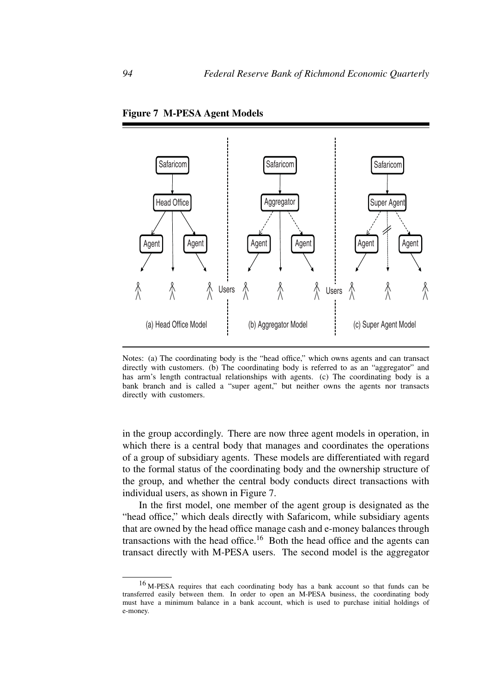

**Figure 7 M-PESA Agent Models**

Notes: (a) The coordinating body is the "head office," which owns agents and can transact directly with customers. (b) The coordinating body is referred to as an "aggregator" and has arm's length contractual relationships with agents. (c) The coordinating body is a bank branch and is called a "super agent," but neither owns the agents nor transacts directly with customers.

in the group accordingly. There are now three agent models in operation, in which there is a central body that manages and coordinates the operations of a group of subsidiary agents. These models are differentiated with regard to the formal status of the coordinating body and the ownership structure of the group, and whether the central body conducts direct transactions with individual users, as shown in Figure 7.

In the first model, one member of the agent group is designated as the "head office," which deals directly with Safaricom, while subsidiary agents that are owned by the head office manage cash and e-money balances through transactions with the head office.<sup>16</sup> Both the head office and the agents can transact directly with M-PESA users. The second model is the aggregator

<sup>16</sup> M-PESA requires that each coordinating body has a bank account so that funds can be transferred easily between them. In order to open an M-PESA business, the coordinating body must have a minimum balance in a bank account, which is used to purchase initial holdings of e-money.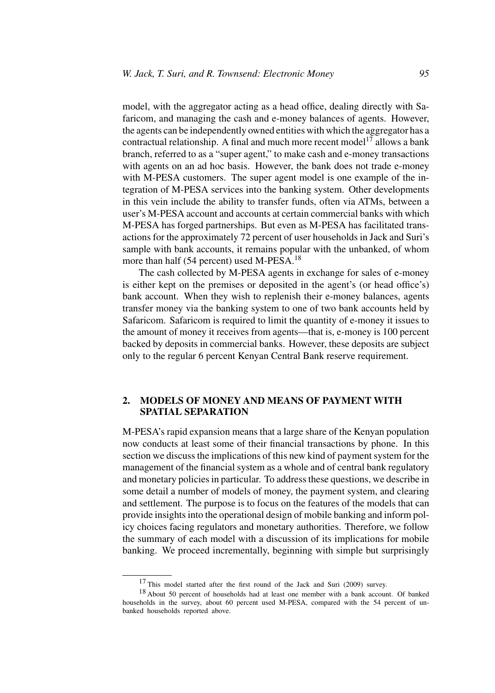model, with the aggregator acting as a head office, dealing directly with Safaricom, and managing the cash and e-money balances of agents. However, the agents can be independently owned entities with which the aggregator has a contractual relationship. A final and much more recent model<sup>17</sup> allows a bank branch, referred to as a "super agent," to make cash and e-money transactions with agents on an ad hoc basis. However, the bank does not trade e-money with M-PESA customers. The super agent model is one example of the integration of M-PESA services into the banking system. Other developments in this vein include the ability to transfer funds, often via ATMs, between a user's M-PESA account and accounts at certain commercial banks with which M-PESA has forged partnerships. But even as M-PESA has facilitated transactions for the approximately 72 percent of user households in Jack and Suri's sample with bank accounts, it remains popular with the unbanked, of whom more than half (54 percent) used M-PESA.<sup>18</sup>

The cash collected by M-PESA agents in exchange for sales of e-money is either kept on the premises or deposited in the agent's (or head office's) bank account. When they wish to replenish their e-money balances, agents transfer money via the banking system to one of two bank accounts held by Safaricom. Safaricom is required to limit the quantity of e-money it issues to the amount of money it receives from agents—that is, e-money is 100 percent backed by deposits in commercial banks. However, these deposits are subject only to the regular 6 percent Kenyan Central Bank reserve requirement.

# **2. MODELS OF MONEY AND MEANS OF PAYMENT WITH SPATIAL SEPARATION**

M-PESA's rapid expansion means that a large share of the Kenyan population now conducts at least some of their financial transactions by phone. In this section we discuss the implications of this new kind of payment system for the management of the financial system as a whole and of central bank regulatory and monetary policies in particular. To address these questions, we describe in some detail a number of models of money, the payment system, and clearing and settlement. The purpose is to focus on the features of the models that can provide insights into the operational design of mobile banking and inform policy choices facing regulators and monetary authorities. Therefore, we follow the summary of each model with a discussion of its implications for mobile banking. We proceed incrementally, beginning with simple but surprisingly

<sup>&</sup>lt;sup>17</sup> This model started after the first round of the Jack and Suri (2009) survey.

<sup>18</sup> About 50 percent of households had at least one member with a bank account. Of banked households in the survey, about 60 percent used M-PESA, compared with the 54 percent of unbanked households reported above.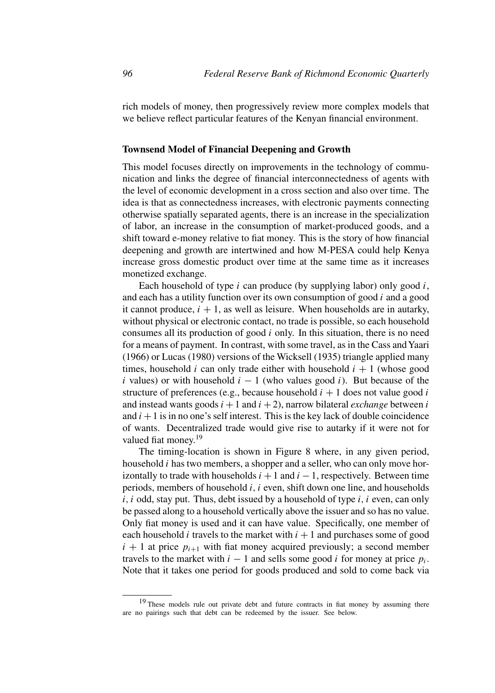rich models of money, then progressively review more complex models that we believe reflect particular features of the Kenyan financial environment.

## **Townsend Model of Financial Deepening and Growth**

This model focuses directly on improvements in the technology of communication and links the degree of financial interconnectedness of agents with the level of economic development in a cross section and also over time. The idea is that as connectedness increases, with electronic payments connecting otherwise spatially separated agents, there is an increase in the specialization of labor, an increase in the consumption of market-produced goods, and a shift toward e-money relative to fiat money. This is the story of how financial deepening and growth are intertwined and how M-PESA could help Kenya increase gross domestic product over time at the same time as it increases monetized exchange.

Each household of type *i* can produce (by supplying labor) only good *i*, and each has a utility function over its own consumption of good *i* and a good it cannot produce,  $i + 1$ , as well as leisure. When households are in autarky, without physical or electronic contact, no trade is possible, so each household consumes all its production of good *i* only. In this situation, there is no need for a means of payment. In contrast, with some travel, as in the Cass andYaari (1966) or Lucas (1980) versions of the Wicksell (1935) triangle applied many times, household *i* can only trade either with household  $i + 1$  (whose good *i* values) or with household  $i - 1$  (who values good *i*). But because of the structure of preferences (e.g., because household  $i + 1$  does not value good  $i$ and instead wants goods  $i + 1$  and  $i + 2$ ), narrow bilateral *exchange* between *i* and  $i + 1$  is in no one's self interest. This is the key lack of double coincidence of wants. Decentralized trade would give rise to autarky if it were not for valued fiat money.<sup>19</sup>

The timing-location is shown in Figure 8 where, in any given period, household *i* has two members, a shopper and a seller, who can only move horizontally to trade with households  $i + 1$  and  $i - 1$ , respectively. Between time periods, members of household *i, i* even, shift down one line, and households *i, i* odd, stay put. Thus, debt issued by a household of type *i, i* even, can only be passed along to a household vertically above the issuer and so has no value. Only fiat money is used and it can have value. Specifically, one member of each household *i* travels to the market with  $i + 1$  and purchases some of good  $i + 1$  at price  $p_{i+1}$  with fiat money acquired previously; a second member travels to the market with  $i - 1$  and sells some good *i* for money at price  $p_i$ . Note that it takes one period for goods produced and sold to come back via

<sup>&</sup>lt;sup>19</sup> These models rule out private debt and future contracts in fiat money by assuming there are no pairings such that debt can be redeemed by the issuer. See below.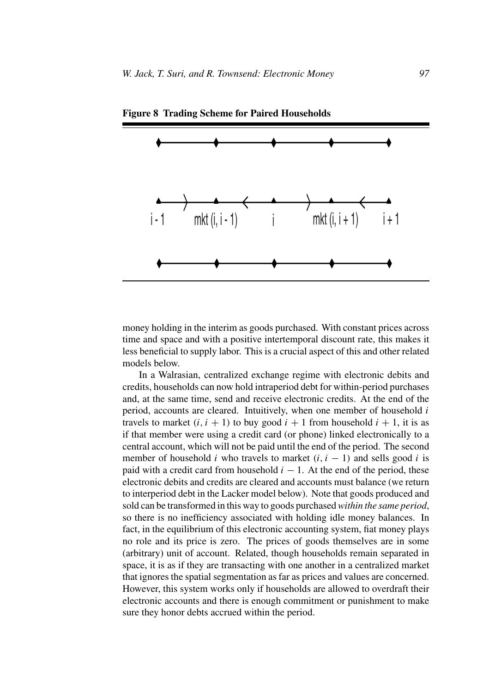

**Figure 8 Trading Scheme for Paired Households**

money holding in the interim as goods purchased. With constant prices across time and space and with a positive intertemporal discount rate, this makes it less beneficial to supply labor. This is a crucial aspect of this and other related models below.

In a Walrasian, centralized exchange regime with electronic debits and credits, households can now hold intraperiod debt for within-period purchases and, at the same time, send and receive electronic credits. At the end of the period, accounts are cleared. Intuitively, when one member of household *i* travels to market  $(i, i + 1)$  to buy good  $i + 1$  from household  $i + 1$ , it is as if that member were using a credit card (or phone) linked electronically to a central account, which will not be paid until the end of the period. The second member of household *i* who travels to market  $(i, i - 1)$  and sells good *i* is paid with a credit card from household  $i - 1$ . At the end of the period, these electronic debits and credits are cleared and accounts must balance (we return to interperiod debt in the Lacker model below). Note that goods produced and sold can be transformed in this way to goods purchased*within the same period*, so there is no inefficiency associated with holding idle money balances. In fact, in the equilibrium of this electronic accounting system, fiat money plays no role and its price is zero. The prices of goods themselves are in some (arbitrary) unit of account. Related, though households remain separated in space, it is as if they are transacting with one another in a centralized market that ignores the spatial segmentation as far as prices and values are concerned. However, this system works only if households are allowed to overdraft their electronic accounts and there is enough commitment or punishment to make sure they honor debts accrued within the period.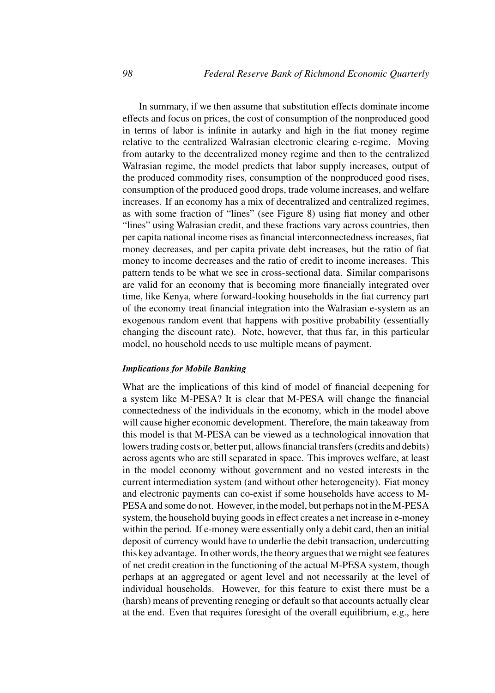In summary, if we then assume that substitution effects dominate income effects and focus on prices, the cost of consumption of the nonproduced good in terms of labor is infinite in autarky and high in the fiat money regime relative to the centralized Walrasian electronic clearing e-regime. Moving from autarky to the decentralized money regime and then to the centralized Walrasian regime, the model predicts that labor supply increases, output of the produced commodity rises, consumption of the nonproduced good rises, consumption of the produced good drops, trade volume increases, and welfare increases. If an economy has a mix of decentralized and centralized regimes, as with some fraction of "lines" (see Figure 8) using fiat money and other "lines" using Walrasian credit, and these fractions vary across countries, then per capita national income rises as financial interconnectedness increases, fiat money decreases, and per capita private debt increases, but the ratio of fiat money to income decreases and the ratio of credit to income increases. This pattern tends to be what we see in cross-sectional data. Similar comparisons are valid for an economy that is becoming more financially integrated over time, like Kenya, where forward-looking households in the fiat currency part of the economy treat financial integration into the Walrasian e-system as an exogenous random event that happens with positive probability (essentially changing the discount rate). Note, however, that thus far, in this particular model, no household needs to use multiple means of payment.

#### *Implications for Mobile Banking*

What are the implications of this kind of model of financial deepening for a system like M-PESA? It is clear that M-PESA will change the financial connectedness of the individuals in the economy, which in the model above will cause higher economic development. Therefore, the main takeaway from this model is that M-PESA can be viewed as a technological innovation that lowers trading costs or, better put, allows financial transfers (credits and debits) across agents who are still separated in space. This improves welfare, at least in the model economy without government and no vested interests in the current intermediation system (and without other heterogeneity). Fiat money and electronic payments can co-exist if some households have access to M-PESA and some do not. However, in the model, but perhaps not in theM-PESA system, the household buying goods in effect creates a net increase in e-money within the period. If e-money were essentially only a debit card, then an initial deposit of currency would have to underlie the debit transaction, undercutting this key advantage. In other words, the theory argues that we might see features of net credit creation in the functioning of the actual M-PESA system, though perhaps at an aggregated or agent level and not necessarily at the level of individual households. However, for this feature to exist there must be a (harsh) means of preventing reneging or default so that accounts actually clear at the end. Even that requires foresight of the overall equilibrium, e.g., here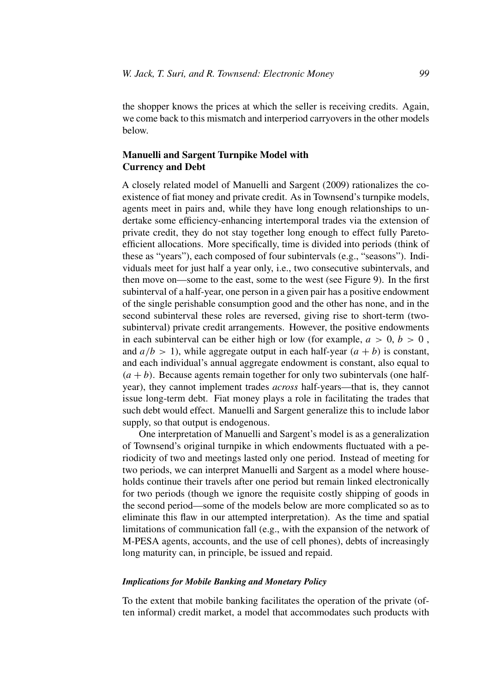the shopper knows the prices at which the seller is receiving credits. Again, we come back to this mismatch and interperiod carryovers in the other models below.

# **Manuelli and Sargent Turnpike Model with Currency and Debt**

A closely related model of Manuelli and Sargent (2009) rationalizes the coexistence of fiat money and private credit. As in Townsend's turnpike models, agents meet in pairs and, while they have long enough relationships to undertake some efficiency-enhancing intertemporal trades via the extension of private credit, they do not stay together long enough to effect fully Paretoefficient allocations. More specifically, time is divided into periods (think of these as "years"), each composed of four subintervals (e.g., "seasons"). Individuals meet for just half a year only, i.e., two consecutive subintervals, and then move on—some to the east, some to the west (see Figure 9). In the first subinterval of a half-year, one person in a given pair has a positive endowment of the single perishable consumption good and the other has none, and in the second subinterval these roles are reversed, giving rise to short-term (twosubinterval) private credit arrangements. However, the positive endowments in each subinterval can be either high or low (for example,  $a > 0$ ,  $b > 0$ , and  $a/b > 1$ , while aggregate output in each half-year  $(a + b)$  is constant, and each individual's annual aggregate endowment is constant, also equal to  $(a + b)$ . Because agents remain together for only two subintervals (one halfyear), they cannot implement trades *across* half-years—that is, they cannot issue long-term debt. Fiat money plays a role in facilitating the trades that such debt would effect. Manuelli and Sargent generalize this to include labor supply, so that output is endogenous.

One interpretation of Manuelli and Sargent's model is as a generalization of Townsend's original turnpike in which endowments fluctuated with a periodicity of two and meetings lasted only one period. Instead of meeting for two periods, we can interpret Manuelli and Sargent as a model where households continue their travels after one period but remain linked electronically for two periods (though we ignore the requisite costly shipping of goods in the second period—some of the models below are more complicated so as to eliminate this flaw in our attempted interpretation). As the time and spatial limitations of communication fall (e.g., with the expansion of the network of M-PESA agents, accounts, and the use of cell phones), debts of increasingly long maturity can, in principle, be issued and repaid.

#### *Implications for Mobile Banking and Monetary Policy*

To the extent that mobile banking facilitates the operation of the private (often informal) credit market, a model that accommodates such products with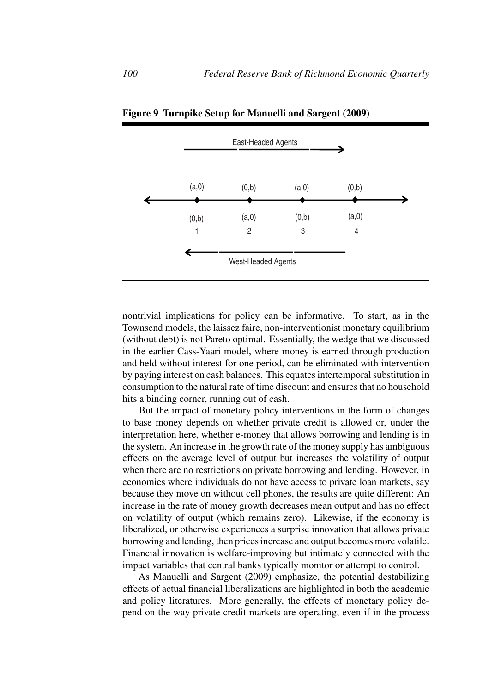|            | East-Headed Agents      |            |            |  |
|------------|-------------------------|------------|------------|--|
| (a,0)      | (0,b)                   | (a,0)      | (0,b)      |  |
| (0,b)<br>1 | (a,0)<br>$\overline{2}$ | (0,b)<br>3 | (a,0)<br>4 |  |
|            | West-Headed Agents      |            |            |  |

**Figure 9 Turnpike Setup for Manuelli and Sargent (2009)**

nontrivial implications for policy can be informative. To start, as in the Townsend models, the laissez faire, non-interventionist monetary equilibrium (without debt) is not Pareto optimal. Essentially, the wedge that we discussed in the earlier Cass-Yaari model, where money is earned through production and held without interest for one period, can be eliminated with intervention by paying interest on cash balances. This equates intertemporal substitution in consumption to the natural rate of time discount and ensures that no household hits a binding corner, running out of cash.

But the impact of monetary policy interventions in the form of changes to base money depends on whether private credit is allowed or, under the interpretation here, whether e-money that allows borrowing and lending is in the system. An increase in the growth rate of the money supply has ambiguous effects on the average level of output but increases the volatility of output when there are no restrictions on private borrowing and lending. However, in economies where individuals do not have access to private loan markets, say because they move on without cell phones, the results are quite different: An increase in the rate of money growth decreases mean output and has no effect on volatility of output (which remains zero). Likewise, if the economy is liberalized, or otherwise experiences a surprise innovation that allows private borrowing and lending, then prices increase and output becomes more volatile. Financial innovation is welfare-improving but intimately connected with the impact variables that central banks typically monitor or attempt to control.

As Manuelli and Sargent (2009) emphasize, the potential destabilizing effects of actual financial liberalizations are highlighted in both the academic and policy literatures. More generally, the effects of monetary policy depend on the way private credit markets are operating, even if in the process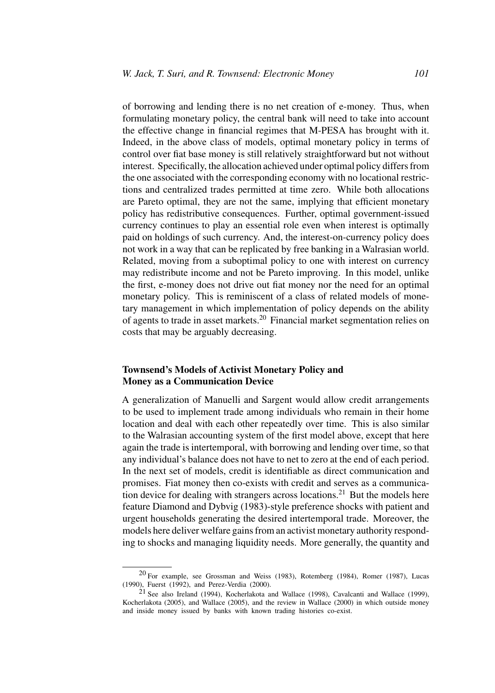of borrowing and lending there is no net creation of e-money. Thus, when formulating monetary policy, the central bank will need to take into account the effective change in financial regimes that M-PESA has brought with it. Indeed, in the above class of models, optimal monetary policy in terms of control over fiat base money is still relatively straightforward but not without interest. Specifically, the allocation achieved under optimal policy differs from the one associated with the corresponding economy with no locational restrictions and centralized trades permitted at time zero. While both allocations are Pareto optimal, they are not the same, implying that efficient monetary policy has redistributive consequences. Further, optimal government-issued currency continues to play an essential role even when interest is optimally paid on holdings of such currency. And, the interest-on-currency policy does not work in a way that can be replicated by free banking in a Walrasian world. Related, moving from a suboptimal policy to one with interest on currency may redistribute income and not be Pareto improving. In this model, unlike the first, e-money does not drive out fiat money nor the need for an optimal monetary policy. This is reminiscent of a class of related models of monetary management in which implementation of policy depends on the ability of agents to trade in asset markets.<sup>20</sup> Financial market segmentation relies on costs that may be arguably decreasing.

# **Townsend's Models of Activist Monetary Policy and Money as a Communication Device**

A generalization of Manuelli and Sargent would allow credit arrangements to be used to implement trade among individuals who remain in their home location and deal with each other repeatedly over time. This is also similar to the Walrasian accounting system of the first model above, except that here again the trade is intertemporal, with borrowing and lending over time, so that any individual's balance does not have to net to zero at the end of each period. In the next set of models, credit is identifiable as direct communication and promises. Fiat money then co-exists with credit and serves as a communication device for dealing with strangers across locations.<sup>21</sup> But the models here feature Diamond and Dybvig (1983)-style preference shocks with patient and urgent households generating the desired intertemporal trade. Moreover, the models here deliver welfare gains from an activist monetary authority responding to shocks and managing liquidity needs. More generally, the quantity and

<sup>20</sup> For example, see Grossman and Weiss (1983), Rotemberg (1984), Romer (1987), Lucas (1990), Fuerst (1992), and Perez-Verdia (2000).

<sup>21</sup> See also Ireland (1994), Kocherlakota and Wallace (1998), Cavalcanti and Wallace (1999), Kocherlakota (2005), and Wallace (2005), and the review in Wallace (2000) in which outside money and inside money issued by banks with known trading histories co-exist.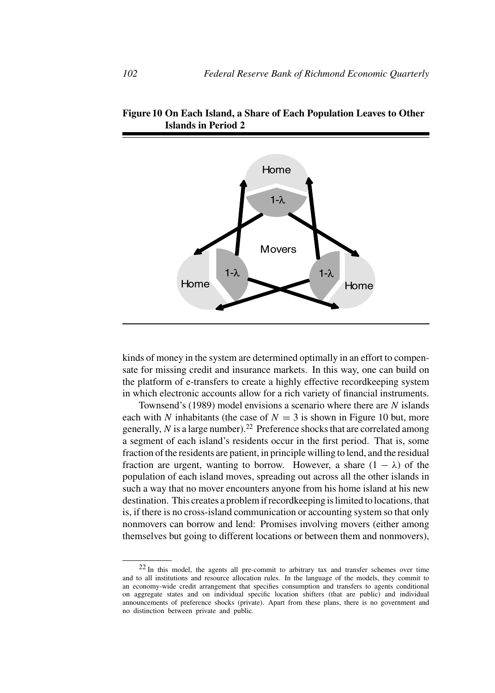

**Figure 10 On Each Island, a Share of Each Population Leaves to Other Islands in Period 2**

kinds of money in the system are determined optimally in an effort to compensate for missing credit and insurance markets. In this way, one can build on the platform of e-transfers to create a highly effective recordkeeping system in which electronic accounts allow for a rich variety of financial instruments.

Townsend's (1989) model envisions a scenario where there are *N* islands each with *N* inhabitants (the case of  $N = 3$  is shown in Figure 10 but, more generally,  $N$  is a large number).<sup>22</sup> Preference shocks that are correlated among a segment of each island's residents occur in the first period. That is, some fraction of the residents are patient, in principle willing to lend, and the residual fraction are urgent, wanting to borrow. However, a share  $(1 - \lambda)$  of the population of each island moves, spreading out across all the other islands in such a way that no mover encounters anyone from his home island at his new destination. This creates a problem if recordkeeping is limited to locations, that is, if there is no cross-island communication or accounting system so that only nonmovers can borrow and lend: Promises involving movers (either among themselves but going to different locations or between them and nonmovers),

<sup>22</sup> In this model, the agents all pre-commit to arbitrary tax and transfer schemes over time and to all institutions and resource allocation rules. In the language of the models, they commit to an economy-wide credit arrangement that specifies consumption and transfers to agents conditional on aggregate states and on individual specific location shifters (that are public) and individual announcements of preference shocks (private). Apart from these plans, there is no government and no distinction between private and public.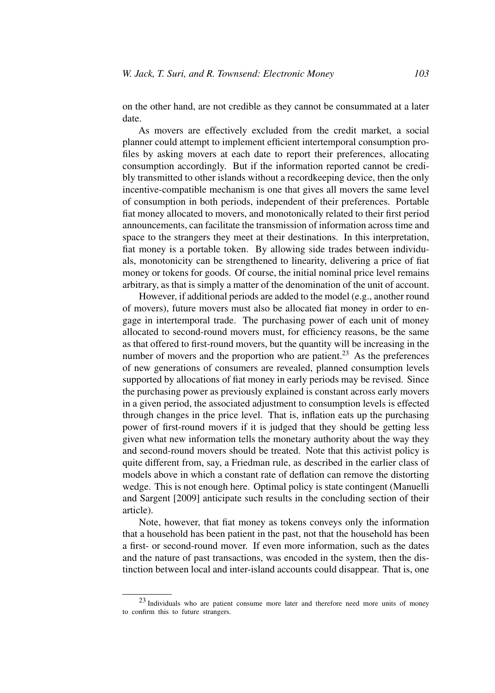on the other hand, are not credible as they cannot be consummated at a later date.

As movers are effectively excluded from the credit market, a social planner could attempt to implement efficient intertemporal consumption profiles by asking movers at each date to report their preferences, allocating consumption accordingly. But if the information reported cannot be credibly transmitted to other islands without a recordkeeping device, then the only incentive-compatible mechanism is one that gives all movers the same level of consumption in both periods, independent of their preferences. Portable fiat money allocated to movers, and monotonically related to their first period announcements, can facilitate the transmission of information across time and space to the strangers they meet at their destinations. In this interpretation, fiat money is a portable token. By allowing side trades between individuals, monotonicity can be strengthened to linearity, delivering a price of fiat money or tokens for goods. Of course, the initial nominal price level remains arbitrary, as that is simply a matter of the denomination of the unit of account.

However, if additional periods are added to the model (e.g., another round of movers), future movers must also be allocated fiat money in order to engage in intertemporal trade. The purchasing power of each unit of money allocated to second-round movers must, for efficiency reasons, be the same as that offered to first-round movers, but the quantity will be increasing in the number of movers and the proportion who are patient.<sup>23</sup> As the preferences of new generations of consumers are revealed, planned consumption levels supported by allocations of fiat money in early periods may be revised. Since the purchasing power as previously explained is constant across early movers in a given period, the associated adjustment to consumption levels is effected through changes in the price level. That is, inflation eats up the purchasing power of first-round movers if it is judged that they should be getting less given what new information tells the monetary authority about the way they and second-round movers should be treated. Note that this activist policy is quite different from, say, a Friedman rule, as described in the earlier class of models above in which a constant rate of deflation can remove the distorting wedge. This is not enough here. Optimal policy is state contingent (Manuelli and Sargent [2009] anticipate such results in the concluding section of their article).

Note, however, that fiat money as tokens conveys only the information that a household has been patient in the past, not that the household has been a first- or second-round mover. If even more information, such as the dates and the nature of past transactions, was encoded in the system, then the distinction between local and inter-island accounts could disappear. That is, one

<sup>23</sup> Individuals who are patient consume more later and therefore need more units of money to confirm this to future strangers.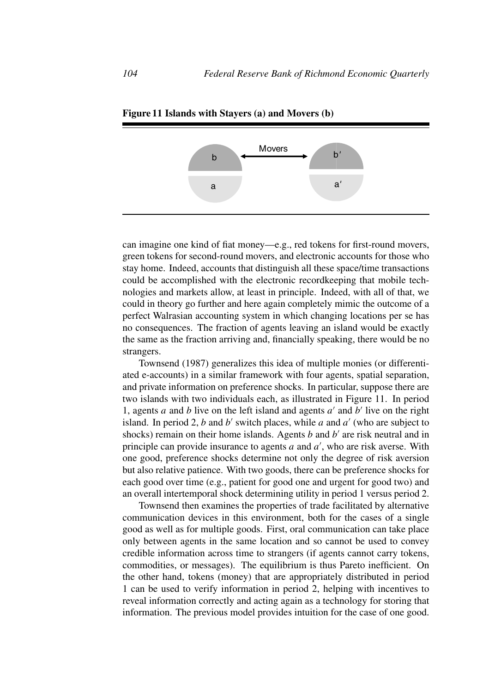

**Figure 11 Islands with Stayers (a) and Movers (b)**

can imagine one kind of fiat money—e.g., red tokens for first-round movers, green tokens for second-round movers, and electronic accounts for those who stay home. Indeed, accounts that distinguish all these space/time transactions could be accomplished with the electronic recordkeeping that mobile technologies and markets allow, at least in principle. Indeed, with all of that, we could in theory go further and here again completely mimic the outcome of a perfect Walrasian accounting system in which changing locations per se has no consequences. The fraction of agents leaving an island would be exactly the same as the fraction arriving and, financially speaking, there would be no strangers.

Townsend (1987) generalizes this idea of multiple monies (or differentiated e-accounts) in a similar framework with four agents, spatial separation, and private information on preference shocks. In particular, suppose there are two islands with two individuals each, as illustrated in Figure 11. In period 1, agents *a* and *b* live on the left island and agents  $a'$  and  $b'$  live on the right island. In period 2, *b* and *b'* switch places, while *a* and  $a'$  (who are subject to shocks) remain on their home islands. Agents  $b$  and  $b'$  are risk neutral and in principle can provide insurance to agents *a* and *a* , who are risk averse. With one good, preference shocks determine not only the degree of risk aversion but also relative patience. With two goods, there can be preference shocks for each good over time (e.g., patient for good one and urgent for good two) and an overall intertemporal shock determining utility in period 1 versus period 2.

Townsend then examines the properties of trade facilitated by alternative communication devices in this environment, both for the cases of a single good as well as for multiple goods. First, oral communication can take place only between agents in the same location and so cannot be used to convey credible information across time to strangers (if agents cannot carry tokens, commodities, or messages). The equilibrium is thus Pareto inefficient. On the other hand, tokens (money) that are appropriately distributed in period 1 can be used to verify information in period 2, helping with incentives to reveal information correctly and acting again as a technology for storing that information. The previous model provides intuition for the case of one good.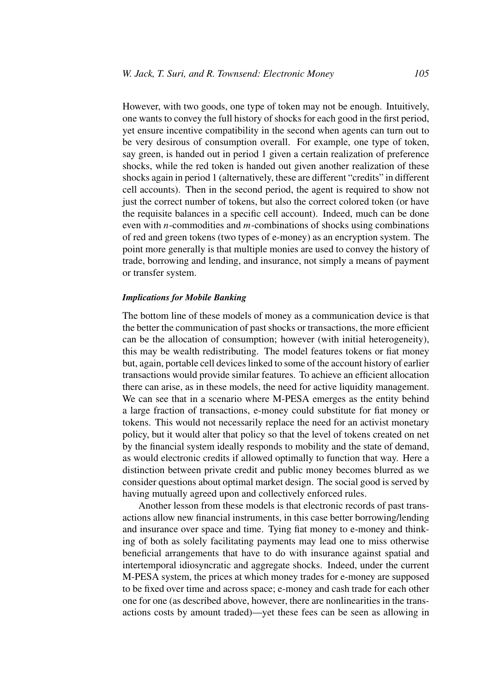However, with two goods, one type of token may not be enough. Intuitively, one wants to convey the full history of shocks for each good in the first period, yet ensure incentive compatibility in the second when agents can turn out to be very desirous of consumption overall. For example, one type of token, say green, is handed out in period 1 given a certain realization of preference shocks, while the red token is handed out given another realization of these shocks again in period 1 (alternatively, these are different "credits" in different cell accounts). Then in the second period, the agent is required to show not just the correct number of tokens, but also the correct colored token (or have the requisite balances in a specific cell account). Indeed, much can be done even with *n*-commodities and *m*-combinations of shocks using combinations of red and green tokens (two types of e-money) as an encryption system. The point more generally is that multiple monies are used to convey the history of trade, borrowing and lending, and insurance, not simply a means of payment or transfer system.

#### *Implications for Mobile Banking*

The bottom line of these models of money as a communication device is that the better the communication of past shocks or transactions, the more efficient can be the allocation of consumption; however (with initial heterogeneity), this may be wealth redistributing. The model features tokens or fiat money but, again, portable cell devices linked to some of the account history of earlier transactions would provide similar features. To achieve an efficient allocation there can arise, as in these models, the need for active liquidity management. We can see that in a scenario where M-PESA emerges as the entity behind a large fraction of transactions, e-money could substitute for fiat money or tokens. This would not necessarily replace the need for an activist monetary policy, but it would alter that policy so that the level of tokens created on net by the financial system ideally responds to mobility and the state of demand, as would electronic credits if allowed optimally to function that way. Here a distinction between private credit and public money becomes blurred as we consider questions about optimal market design. The social good is served by having mutually agreed upon and collectively enforced rules.

Another lesson from these models is that electronic records of past transactions allow new financial instruments, in this case better borrowing/lending and insurance over space and time. Tying fiat money to e-money and thinking of both as solely facilitating payments may lead one to miss otherwise beneficial arrangements that have to do with insurance against spatial and intertemporal idiosyncratic and aggregate shocks. Indeed, under the current M-PESA system, the prices at which money trades for e-money are supposed to be fixed over time and across space; e-money and cash trade for each other one for one (as described above, however, there are nonlinearities in the transactions costs by amount traded)—yet these fees can be seen as allowing in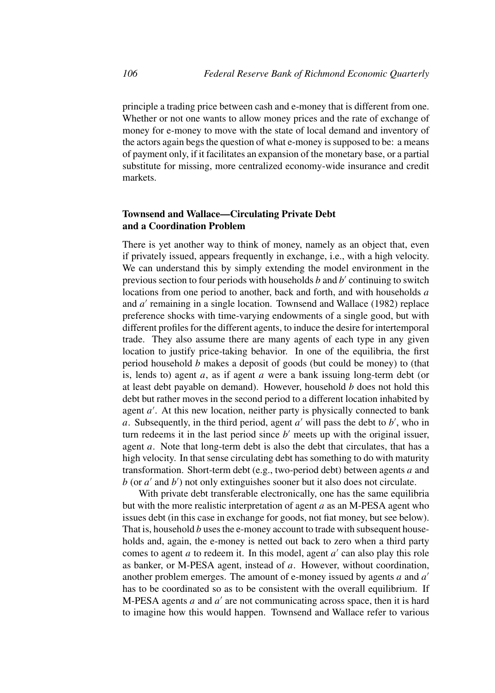principle a trading price between cash and e-money that is different from one. Whether or not one wants to allow money prices and the rate of exchange of money for e-money to move with the state of local demand and inventory of the actors again begs the question of what e-money is supposed to be: a means of payment only, if it facilitates an expansion of the monetary base, or a partial substitute for missing, more centralized economy-wide insurance and credit markets.

# **Townsend and Wallace—Circulating Private Debt and a Coordination Problem**

There is yet another way to think of money, namely as an object that, even if privately issued, appears frequently in exchange, i.e., with a high velocity. We can understand this by simply extending the model environment in the previous section to four periods with households *b* and *b'* continuing to switch locations from one period to another, back and forth, and with households *a* and *a'* remaining in a single location. Townsend and Wallace (1982) replace preference shocks with time-varying endowments of a single good, but with different profiles for the different agents, to induce the desire for intertemporal trade. They also assume there are many agents of each type in any given location to justify price-taking behavior. In one of the equilibria, the first period household *b* makes a deposit of goods (but could be money) to (that is, lends to) agent *a*, as if agent *a* were a bank issuing long-term debt (or at least debt payable on demand). However, household *b* does not hold this debt but rather moves in the second period to a different location inhabited by agent *a'*. At this new location, neither party is physically connected to bank *a*. Subsequently, in the third period, agent  $a'$  will pass the debt to  $b'$ , who in turn redeems it in the last period since  $b'$  meets up with the original issuer, agent *a*. Note that long-term debt is also the debt that circulates, that has a high velocity. In that sense circulating debt has something to do with maturity transformation. Short-term debt (e.g., two-period debt) between agents *a* and *b* (or *a* and *b* ) not only extinguishes sooner but it also does not circulate.

With private debt transferable electronically, one has the same equilibria but with the more realistic interpretation of agent *a* as an M-PESA agent who issues debt (in this case in exchange for goods, not fiat money, but see below). That is, household *b* uses the e-money account to trade with subsequent households and, again, the e-money is netted out back to zero when a third party comes to agent *a* to redeem it. In this model, agent  $a'$  can also play this role as banker, or M-PESA agent, instead of *a*. However, without coordination, another problem emerges. The amount of e-money issued by agents *a* and *a* has to be coordinated so as to be consistent with the overall equilibrium. If M-PESA agents  $a$  and  $a'$  are not communicating across space, then it is hard to imagine how this would happen. Townsend and Wallace refer to various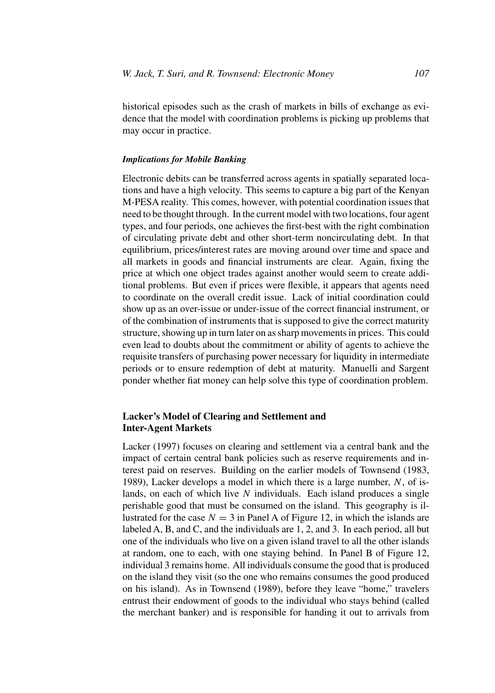historical episodes such as the crash of markets in bills of exchange as evidence that the model with coordination problems is picking up problems that may occur in practice.

## *Implications for Mobile Banking*

Electronic debits can be transferred across agents in spatially separated locations and have a high velocity. This seems to capture a big part of the Kenyan M-PESA reality. This comes, however, with potential coordination issues that need to be thought through. In the current model with two locations, four agent types, and four periods, one achieves the first-best with the right combination of circulating private debt and other short-term noncirculating debt. In that equilibrium, prices/interest rates are moving around over time and space and all markets in goods and financial instruments are clear. Again, fixing the price at which one object trades against another would seem to create additional problems. But even if prices were flexible, it appears that agents need to coordinate on the overall credit issue. Lack of initial coordination could show up as an over-issue or under-issue of the correct financial instrument, or of the combination of instruments that is supposed to give the correct maturity structure, showing up in turn later on as sharp movements in prices. This could even lead to doubts about the commitment or ability of agents to achieve the requisite transfers of purchasing power necessary for liquidity in intermediate periods or to ensure redemption of debt at maturity. Manuelli and Sargent ponder whether fiat money can help solve this type of coordination problem.

# **Lacker's Model of Clearing and Settlement and Inter-Agent Markets**

Lacker (1997) focuses on clearing and settlement via a central bank and the impact of certain central bank policies such as reserve requirements and interest paid on reserves. Building on the earlier models of Townsend (1983, 1989), Lacker develops a model in which there is a large number, *N*, of islands, on each of which live *N* individuals. Each island produces a single perishable good that must be consumed on the island. This geography is illustrated for the case  $N = 3$  in Panel A of Figure 12, in which the islands are labeled A, B, and C, and the individuals are 1, 2, and 3. In each period, all but one of the individuals who live on a given island travel to all the other islands at random, one to each, with one staying behind. In Panel B of Figure 12, individual 3 remains home. All individuals consume the good that is produced on the island they visit (so the one who remains consumes the good produced on his island). As in Townsend (1989), before they leave "home," travelers entrust their endowment of goods to the individual who stays behind (called the merchant banker) and is responsible for handing it out to arrivals from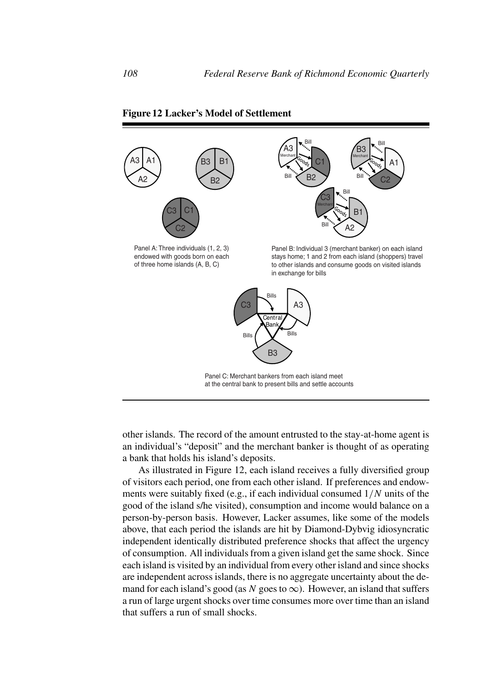

### **Figure 12 Lacker's Model of Settlement**

other islands. The record of the amount entrusted to the stay-at-home agent is an individual's "deposit" and the merchant banker is thought of as operating a bank that holds his island's deposits.

As illustrated in Figure 12, each island receives a fully diversified group of visitors each period, one from each other island. If preferences and endowments were suitably fixed (e.g., if each individual consumed 1*/N* units of the good of the island s/he visited), consumption and income would balance on a person-by-person basis. However, Lacker assumes, like some of the models above, that each period the islands are hit by Diamond-Dybvig idiosyncratic independent identically distributed preference shocks that affect the urgency of consumption. All individuals from a given island get the same shock. Since each island is visited by an individual from every other island and since shocks are independent across islands, there is no aggregate uncertainty about the demand for each island's good (as  $N$  goes to  $\infty$ ). However, an island that suffers a run of large urgent shocks over time consumes more over time than an island that suffers a run of small shocks.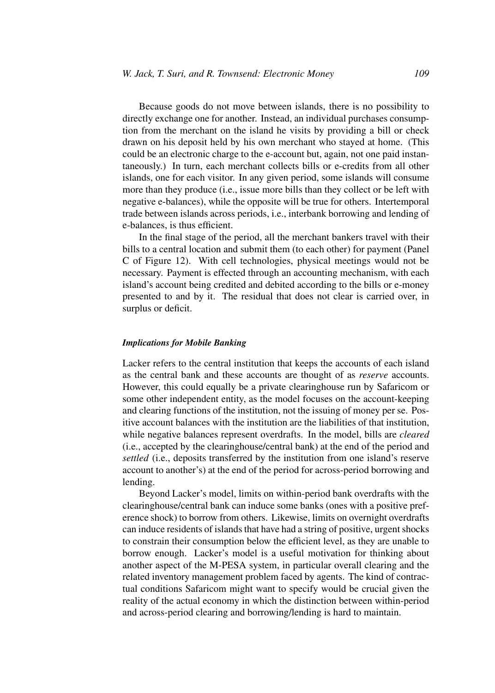Because goods do not move between islands, there is no possibility to directly exchange one for another. Instead, an individual purchases consumption from the merchant on the island he visits by providing a bill or check drawn on his deposit held by his own merchant who stayed at home. (This could be an electronic charge to the e-account but, again, not one paid instantaneously.) In turn, each merchant collects bills or e-credits from all other islands, one for each visitor. In any given period, some islands will consume more than they produce (i.e., issue more bills than they collect or be left with negative e-balances), while the opposite will be true for others. Intertemporal trade between islands across periods, i.e., interbank borrowing and lending of e-balances, is thus efficient.

In the final stage of the period, all the merchant bankers travel with their bills to a central location and submit them (to each other) for payment (Panel C of Figure 12). With cell technologies, physical meetings would not be necessary. Payment is effected through an accounting mechanism, with each island's account being credited and debited according to the bills or e-money presented to and by it. The residual that does not clear is carried over, in surplus or deficit.

## *Implications for Mobile Banking*

Lacker refers to the central institution that keeps the accounts of each island as the central bank and these accounts are thought of as *reserve* accounts. However, this could equally be a private clearinghouse run by Safaricom or some other independent entity, as the model focuses on the account-keeping and clearing functions of the institution, not the issuing of money per se. Positive account balances with the institution are the liabilities of that institution, while negative balances represent overdrafts. In the model, bills are *cleared* (i.e., accepted by the clearinghouse/central bank) at the end of the period and *settled* (i.e., deposits transferred by the institution from one island's reserve account to another's) at the end of the period for across-period borrowing and lending.

Beyond Lacker's model, limits on within-period bank overdrafts with the clearinghouse/central bank can induce some banks (ones with a positive preference shock) to borrow from others. Likewise, limits on overnight overdrafts can induce residents of islands that have had a string of positive, urgent shocks to constrain their consumption below the efficient level, as they are unable to borrow enough. Lacker's model is a useful motivation for thinking about another aspect of the M-PESA system, in particular overall clearing and the related inventory management problem faced by agents. The kind of contractual conditions Safaricom might want to specify would be crucial given the reality of the actual economy in which the distinction between within-period and across-period clearing and borrowing/lending is hard to maintain.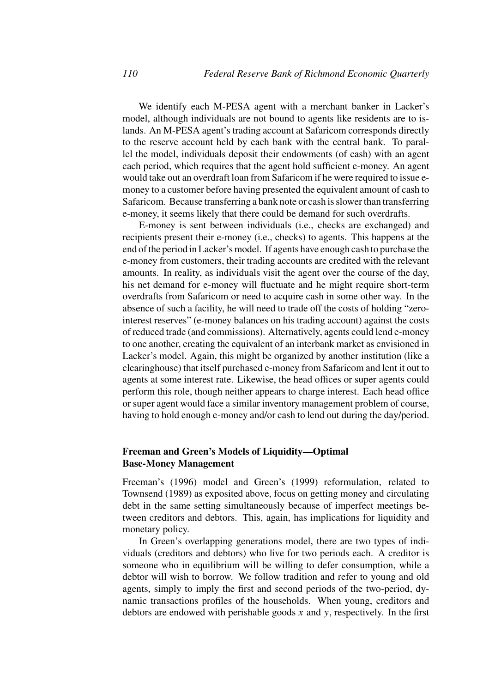We identify each M-PESA agent with a merchant banker in Lacker's model, although individuals are not bound to agents like residents are to islands. An M-PESA agent's trading account at Safaricom corresponds directly to the reserve account held by each bank with the central bank. To parallel the model, individuals deposit their endowments (of cash) with an agent each period, which requires that the agent hold sufficient e-money. An agent would take out an overdraft loan from Safaricom if he were required to issue emoney to a customer before having presented the equivalent amount of cash to Safaricom. Because transferring a bank note or cash is slower than transferring e-money, it seems likely that there could be demand for such overdrafts.

E-money is sent between individuals (i.e., checks are exchanged) and recipients present their e-money (i.e., checks) to agents. This happens at the end of the period in Lacker's model. If agents have enough cash to purchase the e-money from customers, their trading accounts are credited with the relevant amounts. In reality, as individuals visit the agent over the course of the day, his net demand for e-money will fluctuate and he might require short-term overdrafts from Safaricom or need to acquire cash in some other way. In the absence of such a facility, he will need to trade off the costs of holding "zerointerest reserves" (e-money balances on his trading account) against the costs of reduced trade (and commissions). Alternatively, agents could lend e-money to one another, creating the equivalent of an interbank market as envisioned in Lacker's model. Again, this might be organized by another institution (like a clearinghouse) that itself purchased e-money from Safaricom and lent it out to agents at some interest rate. Likewise, the head offices or super agents could perform this role, though neither appears to charge interest. Each head office or super agent would face a similar inventory management problem of course, having to hold enough e-money and/or cash to lend out during the day/period.

# **Freeman and Green's Models of Liquidity—Optimal Base-Money Management**

Freeman's (1996) model and Green's (1999) reformulation, related to Townsend (1989) as exposited above, focus on getting money and circulating debt in the same setting simultaneously because of imperfect meetings between creditors and debtors. This, again, has implications for liquidity and monetary policy.

In Green's overlapping generations model, there are two types of individuals (creditors and debtors) who live for two periods each. A creditor is someone who in equilibrium will be willing to defer consumption, while a debtor will wish to borrow. We follow tradition and refer to young and old agents, simply to imply the first and second periods of the two-period, dynamic transactions profiles of the households. When young, creditors and debtors are endowed with perishable goods *x* and *y*, respectively. In the first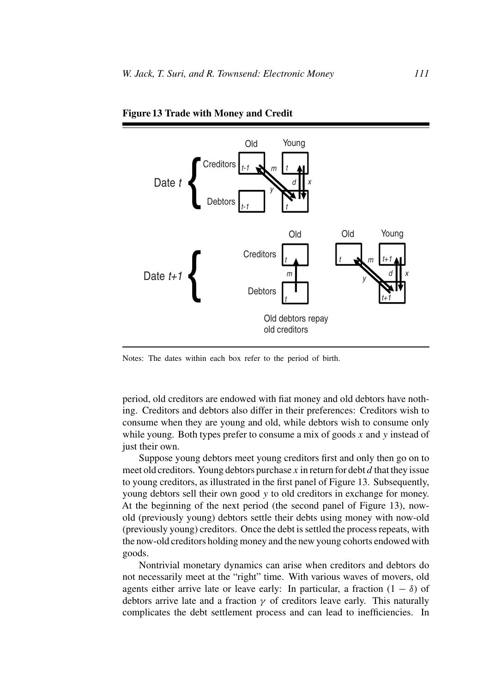

**Figure 13 Trade with Money and Credit**

Notes: The dates within each box refer to the period of birth.

period, old creditors are endowed with fiat money and old debtors have nothing. Creditors and debtors also differ in their preferences: Creditors wish to consume when they are young and old, while debtors wish to consume only while young. Both types prefer to consume a mix of goods *x* and *y* instead of just their own.

Suppose young debtors meet young creditors first and only then go on to meet old creditors. Young debtors purchase *x* in return for debt *d* that they issue to young creditors, as illustrated in the first panel of Figure 13. Subsequently, young debtors sell their own good *y* to old creditors in exchange for money. At the beginning of the next period (the second panel of Figure 13), nowold (previously young) debtors settle their debts using money with now-old (previously young) creditors. Once the debt is settled the process repeats, with the now-old creditors holding money and the new young cohorts endowed with goods.

Nontrivial monetary dynamics can arise when creditors and debtors do not necessarily meet at the "right" time. With various waves of movers, old agents either arrive late or leave early: In particular, a fraction  $(1 - \delta)$  of debtors arrive late and a fraction  $\gamma$  of creditors leave early. This naturally complicates the debt settlement process and can lead to inefficiencies. In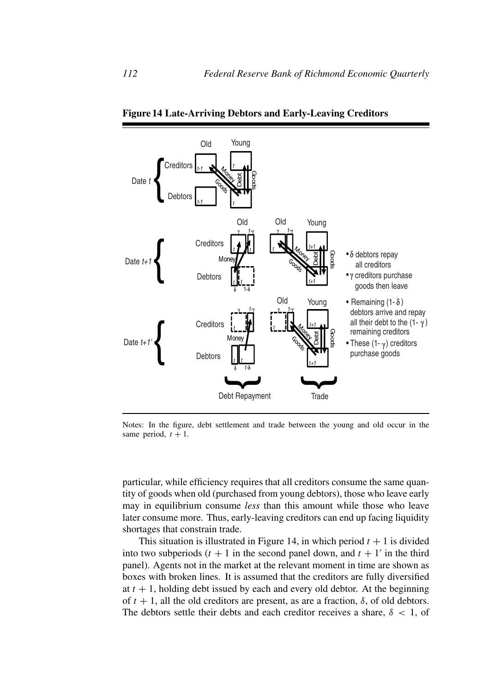

**Figure 14 Late-Arriving Debtors and Early-Leaving Creditors**

Notes: In the figure, debt settlement and trade between the young and old occur in the same period,  $t + 1$ .

particular, while efficiency requires that all creditors consume the same quantity of goods when old (purchased from young debtors), those who leave early may in equilibrium consume *less* than this amount while those who leave later consume more. Thus, early-leaving creditors can end up facing liquidity shortages that constrain trade.

This situation is illustrated in Figure 14, in which period  $t + 1$  is divided into two subperiods  $(t + 1)$  in the second panel down, and  $t + 1'$  in the third panel). Agents not in the market at the relevant moment in time are shown as boxes with broken lines. It is assumed that the creditors are fully diversified at  $t + 1$ , holding debt issued by each and every old debtor. At the beginning of  $t + 1$ , all the old creditors are present, as are a fraction,  $\delta$ , of old debtors. The debtors settle their debts and each creditor receives a share,  $\delta$  < 1, of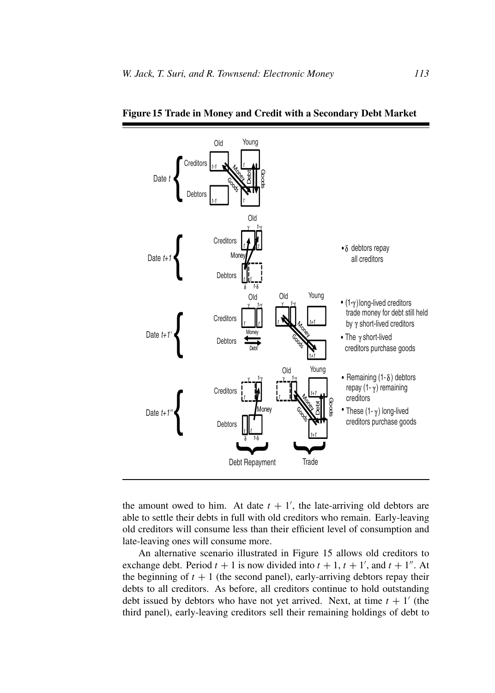

**Figure 15 Trade in Money and Credit with a Secondary Debt Market**

the amount owed to him. At date  $t + 1'$ , the late-arriving old debtors are able to settle their debts in full with old creditors who remain. Early-leaving old creditors will consume less than their efficient level of consumption and late-leaving ones will consume more.

An alternative scenario illustrated in Figure 15 allows old creditors to exchange debt. Period  $t + 1$  is now divided into  $t + 1$ ,  $t + 1'$ , and  $t + 1''$ . At the beginning of  $t + 1$  (the second panel), early-arriving debtors repay their debts to all creditors. As before, all creditors continue to hold outstanding debt issued by debtors who have not yet arrived. Next, at time  $t + 1'$  (the third panel), early-leaving creditors sell their remaining holdings of debt to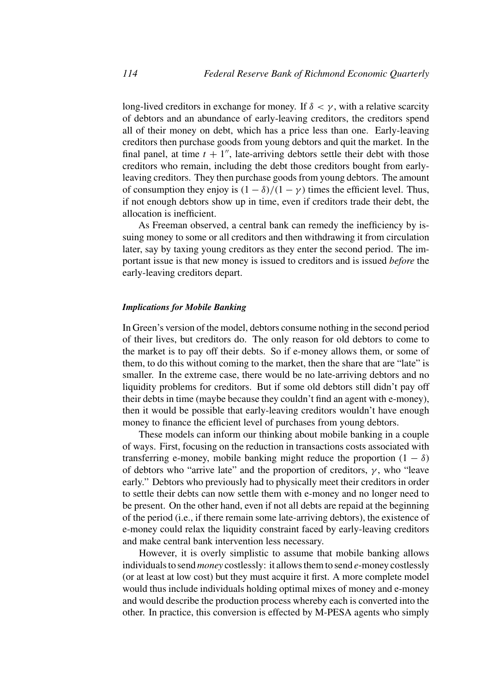long-lived creditors in exchange for money. If  $\delta < \gamma$ , with a relative scarcity of debtors and an abundance of early-leaving creditors, the creditors spend all of their money on debt, which has a price less than one. Early-leaving creditors then purchase goods from young debtors and quit the market. In the final panel, at time  $t + 1$ <sup>"</sup>, late-arriving debtors settle their debt with those creditors who remain, including the debt those creditors bought from earlyleaving creditors. They then purchase goods from young debtors. The amount of consumption they enjoy is  $(1 - \delta)/(1 - \gamma)$  times the efficient level. Thus, if not enough debtors show up in time, even if creditors trade their debt, the allocation is inefficient.

As Freeman observed, a central bank can remedy the inefficiency by issuing money to some or all creditors and then withdrawing it from circulation later, say by taxing young creditors as they enter the second period. The important issue is that new money is issued to creditors and is issued *before* the early-leaving creditors depart.

### *Implications for Mobile Banking*

In Green's version of the model, debtors consume nothing in the second period of their lives, but creditors do. The only reason for old debtors to come to the market is to pay off their debts. So if e-money allows them, or some of them, to do this without coming to the market, then the share that are "late" is smaller. In the extreme case, there would be no late-arriving debtors and no liquidity problems for creditors. But if some old debtors still didn't pay off their debts in time (maybe because they couldn't find an agent with e-money), then it would be possible that early-leaving creditors wouldn't have enough money to finance the efficient level of purchases from young debtors.

These models can inform our thinking about mobile banking in a couple of ways. First, focusing on the reduction in transactions costs associated with transferring e-money, mobile banking might reduce the proportion  $(1 - \delta)$ of debtors who "arrive late" and the proportion of creditors,  $\gamma$ , who "leave early." Debtors who previously had to physically meet their creditors in order to settle their debts can now settle them with e-money and no longer need to be present. On the other hand, even if not all debts are repaid at the beginning of the period (i.e., if there remain some late-arriving debtors), the existence of e-money could relax the liquidity constraint faced by early-leaving creditors and make central bank intervention less necessary.

However, it is overly simplistic to assume that mobile banking allows individuals to send *money* costlessly: it allows them to send *e*-money costlessly (or at least at low cost) but they must acquire it first. A more complete model would thus include individuals holding optimal mixes of money and e-money and would describe the production process whereby each is converted into the other. In practice, this conversion is effected by M-PESA agents who simply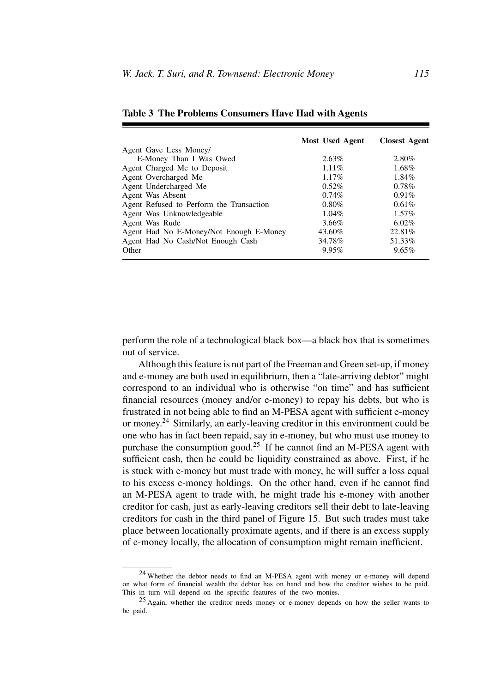|                                          | Most Used Agent | <b>Closest Agent</b> |
|------------------------------------------|-----------------|----------------------|
| Agent Gave Less Money/                   |                 |                      |
| E-Money Than I Was Owed                  | $2.63\%$        | 2.80%                |
| Agent Charged Me to Deposit              | $1.11\%$        | 1.68%                |
| Agent Overcharged Me                     | 1.17%           | $1.84\%$             |
| Agent Undercharged Me                    | 0.52%           | $0.78\%$             |
| Agent Was Absent                         | $0.74\%$        | $0.91\%$             |
| Agent Refused to Perform the Transaction | $0.80\%$        | 0.61%                |
| Agent Was Unknowledgeable                | $1.04\%$        | $1.57\%$             |
| Agent Was Rude                           | $3.66\%$        | $6.02\%$             |
| Agent Had No E-Money/Not Enough E-Money  | 43.60%          | 22.81%               |
| Agent Had No Cash/Not Enough Cash        | 34.78%          | 51.33%               |
| Other                                    | 9.95%           | 9.65%                |

**Table 3 The Problems Consumers Have Had with Agents**

perform the role of a technological black box—a black box that is sometimes out of service.

Although this feature is not part of the Freeman and Green set-up, if money and e-money are both used in equilibrium, then a "late-arriving debtor" might correspond to an individual who is otherwise "on time" and has sufficient financial resources (money and/or e-money) to repay his debts, but who is frustrated in not being able to find an M-PESA agent with sufficient e-money or money.<sup>24</sup> Similarly, an early-leaving creditor in this environment could be one who has in fact been repaid, say in e-money, but who must use money to purchase the consumption good.<sup>25</sup> If he cannot find an M-PESA agent with sufficient cash, then he could be liquidity constrained as above. First, if he is stuck with e-money but must trade with money, he will suffer a loss equal to his excess e-money holdings. On the other hand, even if he cannot find an M-PESA agent to trade with, he might trade his e-money with another creditor for cash, just as early-leaving creditors sell their debt to late-leaving creditors for cash in the third panel of Figure 15. But such trades must take place between locationally proximate agents, and if there is an excess supply of e-money locally, the allocation of consumption might remain inefficient.

<sup>24</sup> Whether the debtor needs to find an M-PESA agent with money or e-money will depend on what form of financial wealth the debtor has on hand and how the creditor wishes to be paid. This in turn will depend on the specific features of the two monies.

<sup>25</sup> Again, whether the creditor needs money or e-money depends on how the seller wants to be paid.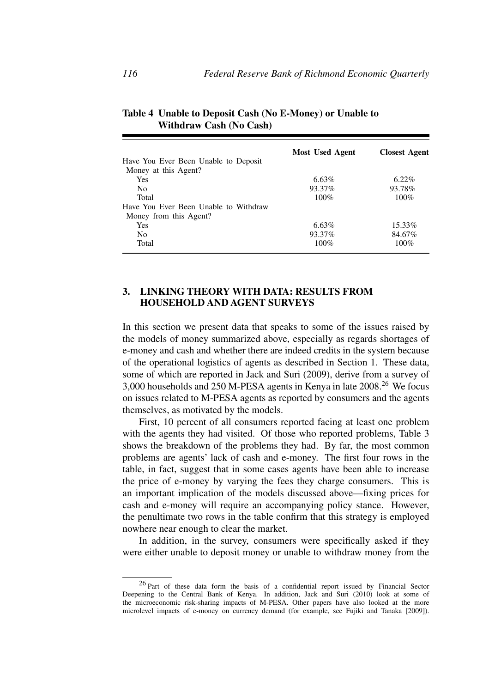|                                       | <b>Most Used Agent</b> | <b>Closest Agent</b> |
|---------------------------------------|------------------------|----------------------|
| Have You Ever Been Unable to Deposit  |                        |                      |
| Money at this Agent?                  |                        |                      |
| <b>Yes</b>                            | $6.63\%$               | $6.22\%$             |
| N <sub>0</sub>                        | 93.37%                 | 93.78%               |
| Total                                 | 100%                   | 100%                 |
| Have You Ever Been Unable to Withdraw |                        |                      |
| Money from this Agent?                |                        |                      |
| <b>Yes</b>                            | 6.63%                  | 15.33%               |
| N <sub>0</sub>                        | 93.37%                 | 84.67%               |
| Total                                 | $100\%$                | 100%                 |

**Table 4 Unable to Deposit Cash (No E-Money) or Unable to Withdraw Cash (No Cash)**

# **3. LINKING THEORY WITH DATA: RESULTS FROM HOUSEHOLD AND AGENT SURVEYS**

In this section we present data that speaks to some of the issues raised by the models of money summarized above, especially as regards shortages of e-money and cash and whether there are indeed credits in the system because of the operational logistics of agents as described in Section 1. These data, some of which are reported in Jack and Suri (2009), derive from a survey of 3,000 households and 250 M-PESA agents in Kenya in late 2008.<sup>26</sup> We focus on issues related to M-PESA agents as reported by consumers and the agents themselves, as motivated by the models.

First, 10 percent of all consumers reported facing at least one problem with the agents they had visited. Of those who reported problems, Table 3 shows the breakdown of the problems they had. By far, the most common problems are agents' lack of cash and e-money. The first four rows in the table, in fact, suggest that in some cases agents have been able to increase the price of e-money by varying the fees they charge consumers. This is an important implication of the models discussed above—fixing prices for cash and e-money will require an accompanying policy stance. However, the penultimate two rows in the table confirm that this strategy is employed nowhere near enough to clear the market.

In addition, in the survey, consumers were specifically asked if they were either unable to deposit money or unable to withdraw money from the

<sup>26</sup> Part of these data form the basis of a confidential report issued by Financial Sector Deepening to the Central Bank of Kenya. In addition, Jack and Suri (2010) look at some of the microeconomic risk-sharing impacts of M-PESA. Other papers have also looked at the more microlevel impacts of e-money on currency demand (for example, see Fujiki and Tanaka [2009]).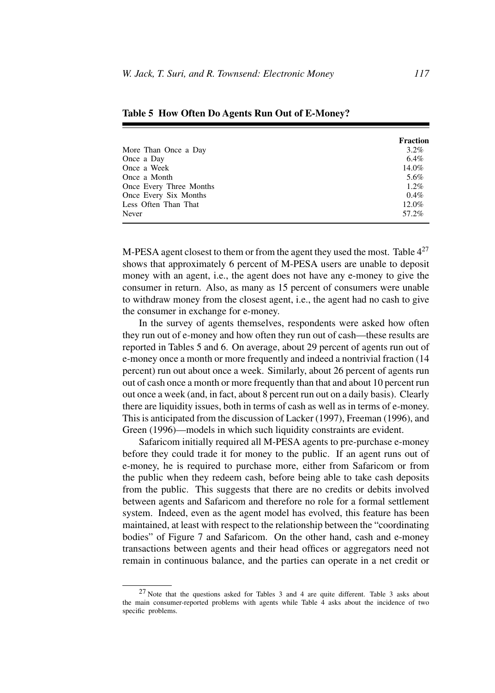|                         | <b>Fraction</b> |
|-------------------------|-----------------|
| More Than Once a Day    | $3.2\%$         |
| Once a Day              | $6.4\%$         |
| Once a Week             | $14.0\%$        |
| Once a Month            | 5.6%            |
| Once Every Three Months | $1.2\%$         |
| Once Every Six Months   | $0.4\%$         |
| Less Often Than That    | 12.0%           |
| Never                   | 57.2%           |

**Table 5 How Often Do Agents Run Out of E-Money?**

M-PESA agent closest to them or from the agent they used the most. Table  $4^{27}$ shows that approximately 6 percent of M-PESA users are unable to deposit money with an agent, i.e., the agent does not have any e-money to give the consumer in return. Also, as many as 15 percent of consumers were unable to withdraw money from the closest agent, i.e., the agent had no cash to give the consumer in exchange for e-money.

In the survey of agents themselves, respondents were asked how often they run out of e-money and how often they run out of cash—these results are reported in Tables 5 and 6. On average, about 29 percent of agents run out of e-money once a month or more frequently and indeed a nontrivial fraction (14 percent) run out about once a week. Similarly, about 26 percent of agents run out of cash once a month or more frequently than that and about 10 percent run out once a week (and, in fact, about 8 percent run out on a daily basis). Clearly there are liquidity issues, both in terms of cash as well as in terms of e-money. This is anticipated from the discussion of Lacker (1997), Freeman (1996), and Green (1996)—models in which such liquidity constraints are evident.

Safaricom initially required all M-PESA agents to pre-purchase e-money before they could trade it for money to the public. If an agent runs out of e-money, he is required to purchase more, either from Safaricom or from the public when they redeem cash, before being able to take cash deposits from the public. This suggests that there are no credits or debits involved between agents and Safaricom and therefore no role for a formal settlement system. Indeed, even as the agent model has evolved, this feature has been maintained, at least with respect to the relationship between the "coordinating bodies" of Figure 7 and Safaricom. On the other hand, cash and e-money transactions between agents and their head offices or aggregators need not remain in continuous balance, and the parties can operate in a net credit or

<sup>27</sup> Note that the questions asked for Tables 3 and 4 are quite different. Table 3 asks about the main consumer-reported problems with agents while Table  $\overline{4}$  asks about the incidence of two specific problems.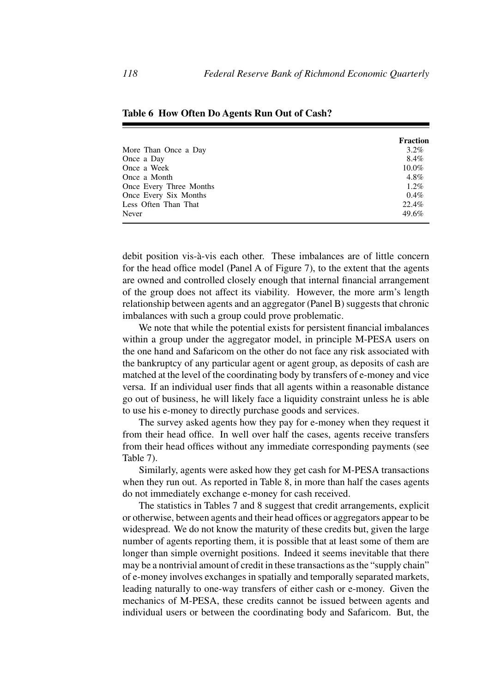|                         | <b>Fraction</b> |
|-------------------------|-----------------|
| More Than Once a Day    | $3.2\%$         |
| Once a Day              | 8.4%            |
| Once a Week             | $10.0\%$        |
| Once a Month            | 4.8%            |
| Once Every Three Months | $1.2\%$         |
| Once Every Six Months   | $0.4\%$         |
| Less Often Than That    | 22.4%           |
| Never                   | 49.6%           |

**Table 6 How Often Do Agents Run Out of Cash?**

debit position vis-à-vis each other. These imbalances are of little concern for the head office model (Panel A of Figure 7), to the extent that the agents are owned and controlled closely enough that internal financial arrangement of the group does not affect its viability. However, the more arm's length relationship between agents and an aggregator (Panel B) suggests that chronic imbalances with such a group could prove problematic.

We note that while the potential exists for persistent financial imbalances within a group under the aggregator model, in principle M-PESA users on the one hand and Safaricom on the other do not face any risk associated with the bankruptcy of any particular agent or agent group, as deposits of cash are matched at the level of the coordinating body by transfers of e-money and vice versa. If an individual user finds that all agents within a reasonable distance go out of business, he will likely face a liquidity constraint unless he is able to use his e-money to directly purchase goods and services.

The survey asked agents how they pay for e-money when they request it from their head office. In well over half the cases, agents receive transfers from their head offices without any immediate corresponding payments (see Table 7).

Similarly, agents were asked how they get cash for M-PESA transactions when they run out. As reported in Table 8, in more than half the cases agents do not immediately exchange e-money for cash received.

The statistics in Tables 7 and 8 suggest that credit arrangements, explicit or otherwise, between agents and their head offices or aggregators appear to be widespread. We do not know the maturity of these credits but, given the large number of agents reporting them, it is possible that at least some of them are longer than simple overnight positions. Indeed it seems inevitable that there may be a nontrivial amount of credit in these transactions as the "supply chain" of e-money involves exchanges in spatially and temporally separated markets, leading naturally to one-way transfers of either cash or e-money. Given the mechanics of M-PESA, these credits cannot be issued between agents and individual users or between the coordinating body and Safaricom. But, the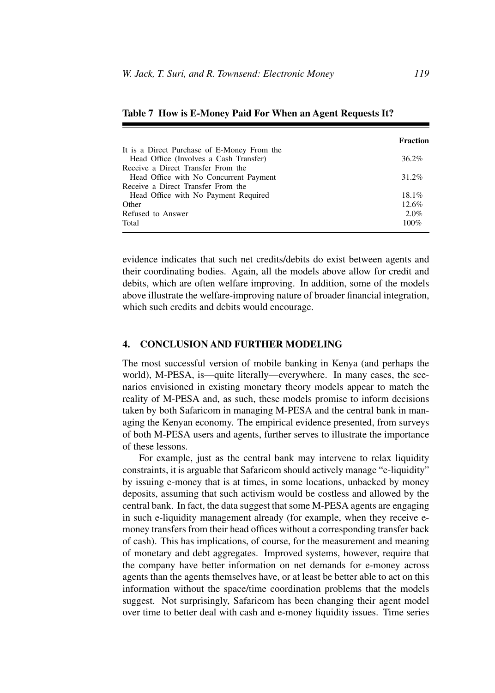|                                             | Fraction |
|---------------------------------------------|----------|
| It is a Direct Purchase of E-Money From the |          |
| Head Office (Involves a Cash Transfer)      | $36.2\%$ |
| Receive a Direct Transfer From the          |          |
| Head Office with No Concurrent Payment      | 31.2%    |
| Receive a Direct Transfer From the          |          |
| Head Office with No Payment Required        | $18.1\%$ |
| Other                                       | 12.6%    |
| Refused to Answer                           | $2.0\%$  |
| Total                                       | $100\%$  |
|                                             |          |

## **Table 7 How is E-Money Paid For When an Agent Requests It?**

evidence indicates that such net credits/debits do exist between agents and their coordinating bodies. Again, all the models above allow for credit and debits, which are often welfare improving. In addition, some of the models above illustrate the welfare-improving nature of broader financial integration, which such credits and debits would encourage.

# **4. CONCLUSION AND FURTHER MODELING**

The most successful version of mobile banking in Kenya (and perhaps the world), M-PESA, is—quite literally—everywhere. In many cases, the scenarios envisioned in existing monetary theory models appear to match the reality of M-PESA and, as such, these models promise to inform decisions taken by both Safaricom in managing M-PESA and the central bank in managing the Kenyan economy. The empirical evidence presented, from surveys of both M-PESA users and agents, further serves to illustrate the importance of these lessons.

For example, just as the central bank may intervene to relax liquidity constraints, it is arguable that Safaricom should actively manage "e-liquidity" by issuing e-money that is at times, in some locations, unbacked by money deposits, assuming that such activism would be costless and allowed by the central bank. In fact, the data suggest that some M-PESA agents are engaging in such e-liquidity management already (for example, when they receive emoney transfers from their head offices without a corresponding transfer back of cash). This has implications, of course, for the measurement and meaning of monetary and debt aggregates. Improved systems, however, require that the company have better information on net demands for e-money across agents than the agents themselves have, or at least be better able to act on this information without the space/time coordination problems that the models suggest. Not surprisingly, Safaricom has been changing their agent model over time to better deal with cash and e-money liquidity issues. Time series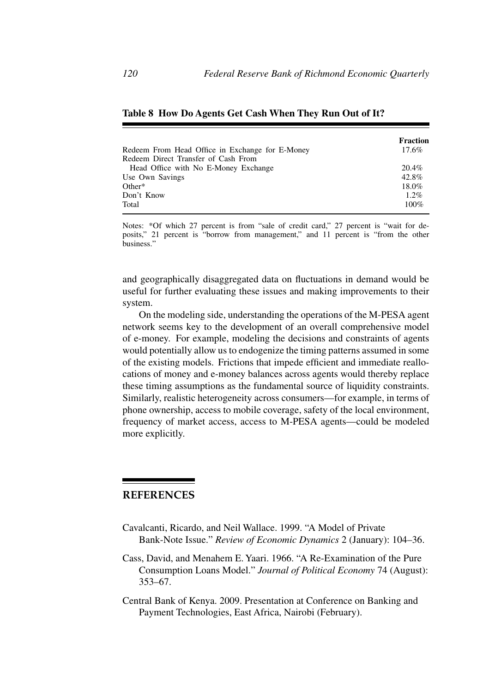|                                                 | <b>Fraction</b> |
|-------------------------------------------------|-----------------|
| Redeem From Head Office in Exchange for E-Money | 17.6%           |
| Redeem Direct Transfer of Cash From             |                 |
| Head Office with No E-Money Exchange            | 20.4%           |
| Use Own Savings                                 | 42.8%           |
| $Other*$                                        | 18.0%           |
| Don't Know                                      | $1.2\%$         |
| Total                                           | $100\%$         |

### **Table 8 How Do Agents Get Cash When They Run Out of It?**

Notes: \*Of which 27 percent is from "sale of credit card," 27 percent is "wait for deposits," 21 percent is "borrow from management," and 11 percent is "from the other business."

and geographically disaggregated data on fluctuations in demand would be useful for further evaluating these issues and making improvements to their system.

On the modeling side, understanding the operations of the M-PESA agent network seems key to the development of an overall comprehensive model of e-money. For example, modeling the decisions and constraints of agents would potentially allow us to endogenize the timing patterns assumed in some of the existing models. Frictions that impede efficient and immediate reallocations of money and e-money balances across agents would thereby replace these timing assumptions as the fundamental source of liquidity constraints. Similarly, realistic heterogeneity across consumers—for example, in terms of phone ownership, access to mobile coverage, safety of the local environment, frequency of market access, access to M-PESA agents—could be modeled more explicitly.

# **REFERENCES**

- Cavalcanti, Ricardo, and Neil Wallace. 1999. "A Model of Private Bank-Note Issue." *Review of Economic Dynamics* 2 (January): 104–36.
- Cass, David, and Menahem E. Yaari. 1966. "A Re-Examination of the Pure Consumption Loans Model." *Journal of Political Economy* 74 (August): 353–67.
- Central Bank of Kenya. 2009. Presentation at Conference on Banking and Payment Technologies, East Africa, Nairobi (February).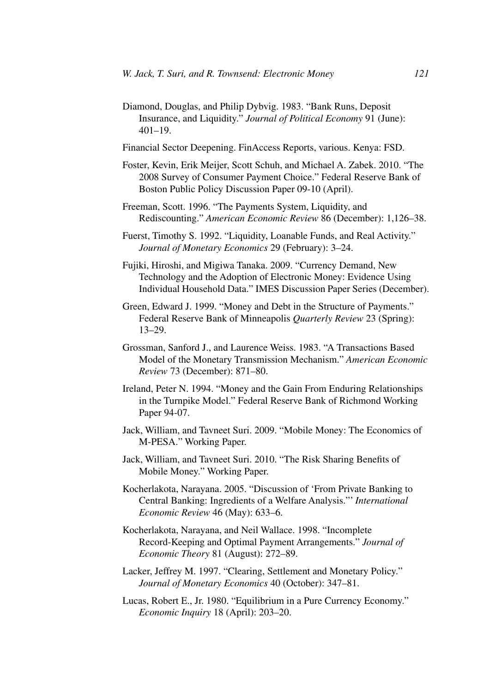Diamond, Douglas, and Philip Dybvig. 1983. "Bank Runs, Deposit Insurance, and Liquidity." *Journal of Political Economy* 91 (June):  $401 - 19$ .

Financial Sector Deepening. FinAccess Reports, various. Kenya: FSD.

- Foster, Kevin, Erik Meijer, Scott Schuh, and Michael A. Zabek. 2010. "The 2008 Survey of Consumer Payment Choice." Federal Reserve Bank of Boston Public Policy Discussion Paper 09-10 (April).
- Freeman, Scott. 1996. "The Payments System, Liquidity, and Rediscounting." *American Economic Review* 86 (December): 1,126–38.
- Fuerst, Timothy S. 1992. "Liquidity, Loanable Funds, and Real Activity." *Journal of Monetary Economics* 29 (February): 3–24.
- Fujiki, Hiroshi, and Migiwa Tanaka. 2009. "Currency Demand, New Technology and the Adoption of Electronic Money: Evidence Using Individual Household Data." IMES Discussion Paper Series (December).
- Green, Edward J. 1999. "Money and Debt in the Structure of Payments." Federal Reserve Bank of Minneapolis *Quarterly Review* 23 (Spring): 13–29.
- Grossman, Sanford J., and Laurence Weiss. 1983. "A Transactions Based Model of the Monetary Transmission Mechanism." *American Economic Review* 73 (December): 871–80.
- Ireland, Peter N. 1994. "Money and the Gain From Enduring Relationships in the Turnpike Model." Federal Reserve Bank of Richmond Working Paper 94-07.
- Jack, William, and Tavneet Suri. 2009. "Mobile Money: The Economics of M-PESA." Working Paper.
- Jack, William, and Tavneet Suri. 2010. "The Risk Sharing Benefits of Mobile Money." Working Paper.
- Kocherlakota, Narayana. 2005. "Discussion of 'From Private Banking to Central Banking: Ingredients of a Welfare Analysis."' *International Economic Review* 46 (May): 633–6.
- Kocherlakota, Narayana, and Neil Wallace. 1998. "Incomplete Record-Keeping and Optimal Payment Arrangements." *Journal of Economic Theory* 81 (August): 272–89.
- Lacker, Jeffrey M. 1997. "Clearing, Settlement and Monetary Policy." *Journal of Monetary Economics* 40 (October): 347–81.
- Lucas, Robert E., Jr. 1980. "Equilibrium in a Pure Currency Economy." *Economic Inquiry* 18 (April): 203–20.